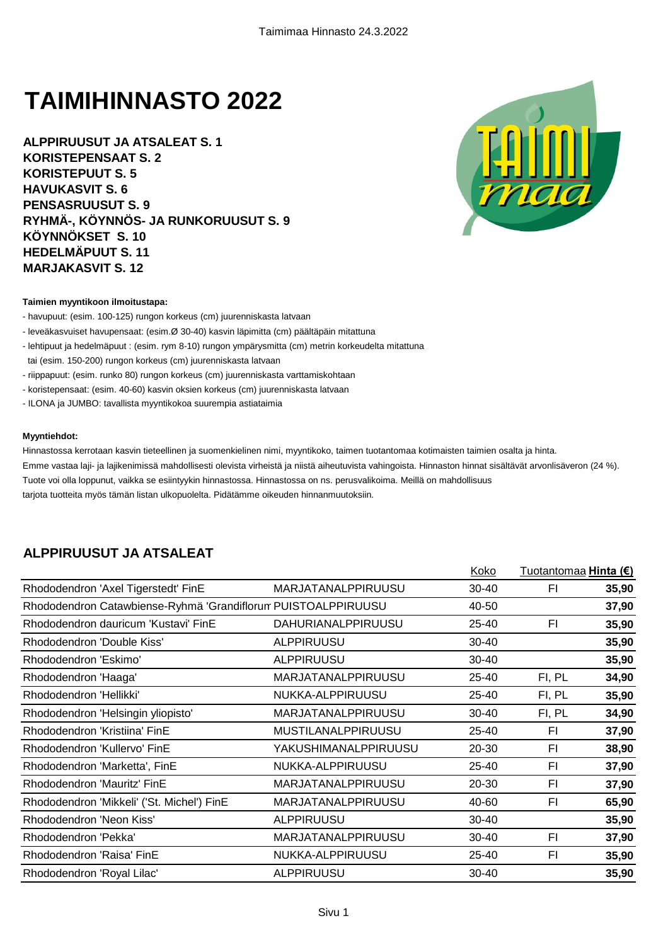# **TAIMIHINNASTO 2022**

**ALPPIRUUSUT JA ATSALEAT S. 1 KORISTEPENSAAT S. 2 KORISTEPUUT S. 5 HAVUKASVIT S. 6 PENSASRUUSUT S. 9 RYHMÄ-, KÖYNNÖS- JA RUNKORUUSUT S. 9 KÖYNNÖKSET S. 10 HEDELMÄPUUT S. 11 MARJAKASVIT S. 12**



#### **Taimien myyntikoon ilmoitustapa:**

- havupuut: (esim. 100-125) rungon korkeus (cm) juurenniskasta latvaan
- leveäkasvuiset havupensaat: (esim.Ø 30-40) kasvin läpimitta (cm) päältäpäin mitattuna
- lehtipuut ja hedelmäpuut : (esim. rym 8-10) rungon ympärysmitta (cm) metrin korkeudelta mitattuna
- tai (esim. 150-200) rungon korkeus (cm) juurenniskasta latvaan
- riippapuut: (esim. runko 80) rungon korkeus (cm) juurenniskasta varttamiskohtaan
- koristepensaat: (esim. 40-60) kasvin oksien korkeus (cm) juurenniskasta latvaan
- ILONA ja JUMBO: tavallista myyntikokoa suurempia astiataimia

#### **Myyntiehdot:**

Hinnastossa kerrotaan kasvin tieteellinen ja suomenkielinen nimi, myyntikoko, taimen tuotantomaa kotimaisten taimien osalta ja hinta. Emme vastaa laji- ja lajikenimissä mahdollisesti olevista virheistä ja niistä aiheutuvista vahingoista. Hinnaston hinnat sisältävät arvonlisäveron (24 %). Tuote voi olla loppunut, vaikka se esiintyykin hinnastossa. Hinnastossa on ns. perusvalikoima. Meillä on mahdollisuus tarjota tuotteita myös tämän listan ulkopuolelta. Pidätämme oikeuden hinnanmuutoksiin.

#### **ALPPIRUUSUT JA ATSALEAT**

|                                                               |                           | Koko      | Tuotantomaa <b>Hinta (€)</b> |       |
|---------------------------------------------------------------|---------------------------|-----------|------------------------------|-------|
| Rhododendron 'Axel Tigerstedt' FinE                           | <b>MARJATANALPPIRUUSU</b> | 30-40     | FI                           | 35,90 |
| Rhododendron Catawbiense-Ryhmä 'Grandiflorum PUISTOALPPIRUUSU |                           | 40-50     |                              | 37,90 |
| Rhododendron dauricum 'Kustavi' FinE                          | <b>DAHURIANALPPIRUUSU</b> | 25-40     | FI                           | 35,90 |
| Rhododendron 'Double Kiss'                                    | <b>ALPPIRUUSU</b>         | 30-40     |                              | 35,90 |
| Rhododendron 'Eskimo'                                         | <b>ALPPIRUUSU</b>         | $30 - 40$ |                              | 35,90 |
| Rhododendron 'Haaga'                                          | <b>MARJATANALPPIRUUSU</b> | 25-40     | FI, PL                       | 34,90 |
| Rhododendron 'Hellikki'                                       | NUKKA-ALPPIRUUSU          | 25-40     | FI, PL                       | 35,90 |
| Rhododendron 'Helsingin yliopisto'                            | <b>MARJATANALPPIRUUSU</b> | 30-40     | FI, PL                       | 34,90 |
| Rhododendron 'Kristiina' FinE                                 | MUSTILANALPPIRUUSU        | 25-40     | FI                           | 37,90 |
| Rhododendron 'Kullervo' FinE                                  | YAKUSHIMANALPPIRUUSU      | 20-30     | FI                           | 38,90 |
| Rhododendron 'Marketta', FinE                                 | NUKKA-ALPPIRUUSU          | 25-40     | FI                           | 37,90 |
| Rhododendron 'Mauritz' FinE                                   | MARJATANALPPIRUUSU        | 20-30     | FI                           | 37,90 |
| Rhododendron 'Mikkeli' ('St. Michel') FinE                    | <b>MARJATANALPPIRUUSU</b> | 40-60     | FI                           | 65,90 |
| Rhododendron 'Neon Kiss'                                      | <b>ALPPIRUUSU</b>         | $30 - 40$ |                              | 35,90 |
| Rhododendron 'Pekka'                                          | <b>MARJATANALPPIRUUSU</b> | $30 - 40$ | FI                           | 37,90 |
| Rhododendron 'Raisa' FinE                                     | NUKKA-ALPPIRUUSU          | 25-40     | FI                           | 35,90 |
| Rhododendron 'Royal Lilac'                                    | <b>ALPPIRUUSU</b>         | $30 - 40$ |                              | 35,90 |
|                                                               |                           |           |                              |       |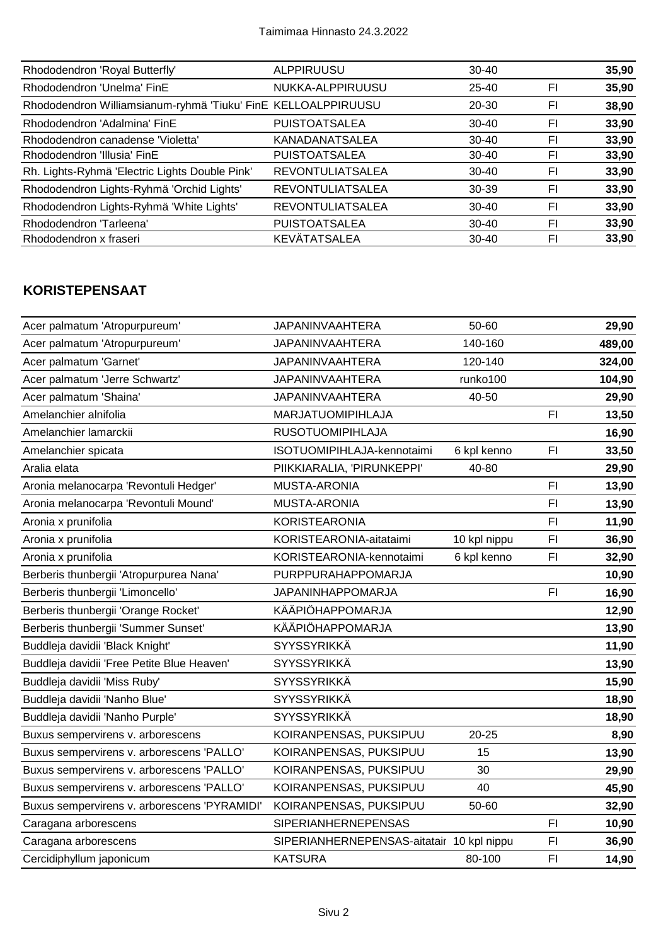| Rhododendron 'Royal Butterfly'                                | <b>ALPPIRUUSU</b>       | $30 - 40$ |    | 35,90 |
|---------------------------------------------------------------|-------------------------|-----------|----|-------|
| Rhododendron 'Unelma' FinE                                    | NUKKA-ALPPIRUUSU        | $25 - 40$ | FI | 35,90 |
| Rhododendron Williamsianum-ryhmä 'Tiuku' FinE KELLOALPPIRUUSU |                         | $20 - 30$ | FI | 38,90 |
| Rhododendron 'Adalmina' FinE                                  | <b>PUISTOATSALEA</b>    | $30 - 40$ | FI | 33,90 |
| Rhododendron canadense 'Violetta'                             | <b>KANADANATSALEA</b>   | $30 - 40$ | FI | 33,90 |
| Rhododendron 'Illusia' FinE                                   | <b>PUISTOATSALEA</b>    | $30 - 40$ | FI | 33,90 |
| Rh. Lights-Ryhmä 'Electric Lights Double Pink'                | <b>REVONTULIATSALEA</b> | $30 - 40$ | FI | 33,90 |
| Rhododendron Lights-Ryhmä 'Orchid Lights'                     | <b>REVONTULIATSALEA</b> | 30-39     | FI | 33,90 |
| Rhododendron Lights-Ryhmä 'White Lights'                      | <b>REVONTULIATSALEA</b> | $30 - 40$ | FI | 33,90 |
| Rhododendron 'Tarleena'                                       | <b>PUISTOATSALEA</b>    | $30 - 40$ | FI | 33,90 |
| Rhododendron x fraseri                                        | KEVÄTATSALEA            | $30 - 40$ | FI | 33,90 |

### **KORISTEPENSAAT**

| <b>JAPANINVAAHTERA</b>     | 50-60        |                                           | 29,90  |
|----------------------------|--------------|-------------------------------------------|--------|
| <b>JAPANINVAAHTERA</b>     | 140-160      |                                           | 489,00 |
| <b>JAPANINVAAHTERA</b>     | 120-140      |                                           | 324,00 |
| <b>JAPANINVAAHTERA</b>     | runko100     |                                           | 104,90 |
| <b>JAPANINVAAHTERA</b>     | 40-50        |                                           | 29,90  |
| <b>MARJATUOMIPIHLAJA</b>   |              | F1                                        | 13,50  |
| <b>RUSOTUOMIPIHLAJA</b>    |              |                                           | 16,90  |
| ISOTUOMIPIHLAJA-kennotaimi | 6 kpl kenno  | FI                                        | 33,50  |
| PIIKKIARALIA, 'PIRUNKEPPI' | 40-80        |                                           | 29,90  |
| <b>MUSTA-ARONIA</b>        |              | F1                                        | 13,90  |
| <b>MUSTA-ARONIA</b>        |              | F <sub>l</sub>                            | 13,90  |
| <b>KORISTEARONIA</b>       |              | F1                                        | 11,90  |
| KORISTEARONIA-aitataimi    | 10 kpl nippu | F <sub>1</sub>                            | 36,90  |
| KORISTEARONIA-kennotaimi   | 6 kpl kenno  | F <sub>1</sub>                            | 32,90  |
| PURPPURAHAPPOMARJA         |              |                                           | 10,90  |
| JAPANINHAPPOMARJA          |              | F <sub>l</sub>                            | 16,90  |
| KÄÄPIÖHAPPOMARJA           |              |                                           | 12,90  |
| KÄÄPIÖHAPPOMARJA           |              |                                           | 13,90  |
| <b>SYYSSYRIKKÄ</b>         |              |                                           | 11,90  |
| <b>SYYSSYRIKKÄ</b>         |              |                                           | 13,90  |
| <b>SYYSSYRIKKÄ</b>         |              |                                           | 15,90  |
| <b>SYYSSYRIKKÄ</b>         |              |                                           | 18,90  |
| <b>SYYSSYRIKKÄ</b>         |              |                                           | 18,90  |
| KOIRANPENSAS, PUKSIPUU     | $20 - 25$    |                                           | 8,90   |
| KOIRANPENSAS, PUKSIPUU     | 15           |                                           | 13,90  |
| KOIRANPENSAS, PUKSIPUU     | 30           |                                           | 29,90  |
| KOIRANPENSAS, PUKSIPUU     | 40           |                                           | 45,90  |
| KOIRANPENSAS, PUKSIPUU     | 50-60        |                                           | 32,90  |
| <b>SIPERIANHERNEPENSAS</b> |              | FI.                                       | 10,90  |
|                            |              | F1                                        | 36,90  |
| <b>KATSURA</b>             | 80-100       | F1                                        | 14,90  |
|                            |              | SIPERIANHERNEPENSAS-aitatair 10 kpl nippu |        |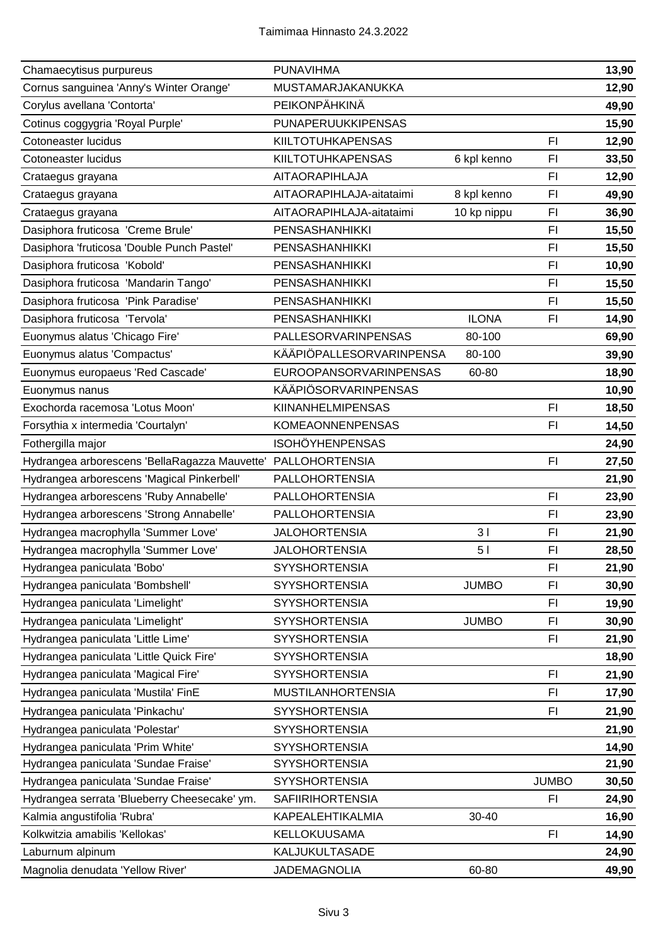| Chamaecytisus purpureus                                      | <b>PUNAVIHMA</b>              |                |                | 13,90 |
|--------------------------------------------------------------|-------------------------------|----------------|----------------|-------|
| Cornus sanguinea 'Anny's Winter Orange'                      | MUSTAMARJAKANUKKA             |                |                | 12,90 |
| Corylus avellana 'Contorta'                                  | PEIKONPÄHKINÄ                 |                |                | 49,90 |
| Cotinus coggygria 'Royal Purple'                             | PUNAPERUUKKIPENSAS            |                |                | 15,90 |
| Cotoneaster lucidus                                          | <b>KIILTOTUHKAPENSAS</b>      |                | F1             | 12,90 |
| Cotoneaster lucidus                                          | <b>KIILTOTUHKAPENSAS</b>      | 6 kpl kenno    | FI             | 33,50 |
| Crataegus grayana                                            | AITAORAPIHLAJA                |                | FI             | 12,90 |
| Crataegus grayana                                            | AITAORAPIHLAJA-aitataimi      | 8 kpl kenno    | FI             | 49,90 |
| Crataegus grayana                                            | AITAORAPIHLAJA-aitataimi      | 10 kp nippu    | F1             | 36,90 |
| Dasiphora fruticosa 'Creme Brule'                            | PENSASHANHIKKI                |                | F1             | 15,50 |
| Dasiphora 'fruticosa 'Double Punch Pastel'                   | PENSASHANHIKKI                |                | F <sub>1</sub> | 15,50 |
| Dasiphora fruticosa 'Kobold'                                 | <b>PENSASHANHIKKI</b>         |                | F <sub>1</sub> | 10,90 |
| Dasiphora fruticosa 'Mandarin Tango'                         | PENSASHANHIKKI                |                | FI             | 15,50 |
| Dasiphora fruticosa 'Pink Paradise'                          | PENSASHANHIKKI                |                | FI             | 15,50 |
| Dasiphora fruticosa 'Tervola'                                | <b>PENSASHANHIKKI</b>         | <b>ILONA</b>   | F1             | 14,90 |
| Euonymus alatus 'Chicago Fire'                               | PALLESORVARINPENSAS           | 80-100         |                | 69,90 |
| Euonymus alatus 'Compactus'                                  | KÄÄPIÖPALLESORVARINPENSA      | 80-100         |                | 39,90 |
| Euonymus europaeus 'Red Cascade'                             | <b>EUROOPANSORVARINPENSAS</b> | 60-80          |                | 18,90 |
| Euonymus nanus                                               | <b>KÄÄPIÖSORVARINPENSAS</b>   |                |                | 10,90 |
| Exochorda racemosa 'Lotus Moon'                              | <b>KIINANHELMIPENSAS</b>      |                | F1             | 18,50 |
| Forsythia x intermedia 'Courtalyn'                           | <b>KOMEAONNENPENSAS</b>       |                | F1             | 14,50 |
| Fothergilla major                                            | <b>ISOHÖYHENPENSAS</b>        |                |                | 24,90 |
| Hydrangea arborescens 'BellaRagazza Mauvette' PALLOHORTENSIA |                               |                | F <sub>l</sub> | 27,50 |
| Hydrangea arborescens 'Magical Pinkerbell'                   | <b>PALLOHORTENSIA</b>         |                |                | 21,90 |
| Hydrangea arborescens 'Ruby Annabelle'                       | <b>PALLOHORTENSIA</b>         |                | F <sub>l</sub> | 23,90 |
| Hydrangea arborescens 'Strong Annabelle'                     | <b>PALLOHORTENSIA</b>         |                | F1             | 23,90 |
| Hydrangea macrophylla 'Summer Love'                          | <b>JALOHORTENSIA</b>          | 31             | F <sub>l</sub> | 21,90 |
| Hydrangea macrophylla 'Summer Love'                          | <b>JALOHORTENSIA</b>          | 5 <sub>1</sub> | FI             | 28,50 |
| Hydrangea paniculata 'Bobo'                                  | <b>SYYSHORTENSIA</b>          |                | F1             | 21,90 |
| Hydrangea paniculata 'Bombshell'                             | <b>SYYSHORTENSIA</b>          | <b>JUMBO</b>   | FI             | 30,90 |
| Hydrangea paniculata 'Limelight'                             | <b>SYYSHORTENSIA</b>          |                | FI             | 19,90 |
| Hydrangea paniculata 'Limelight'                             | <b>SYYSHORTENSIA</b>          | <b>JUMBO</b>   | FI             | 30,90 |
| Hydrangea paniculata 'Little Lime'                           | <b>SYYSHORTENSIA</b>          |                | F <sub>1</sub> | 21,90 |
| Hydrangea paniculata 'Little Quick Fire'                     | <b>SYYSHORTENSIA</b>          |                |                | 18,90 |
| Hydrangea paniculata 'Magical Fire'                          | <b>SYYSHORTENSIA</b>          |                | F1             | 21,90 |
| Hydrangea paniculata 'Mustila' FinE                          | <b>MUSTILANHORTENSIA</b>      |                | FI             | 17,90 |
| Hydrangea paniculata 'Pinkachu'                              | <b>SYYSHORTENSIA</b>          |                | F <sub>1</sub> | 21,90 |
| Hydrangea paniculata 'Polestar'                              | <b>SYYSHORTENSIA</b>          |                |                | 21,90 |
| Hydrangea paniculata 'Prim White'                            | <b>SYYSHORTENSIA</b>          |                |                | 14,90 |
| Hydrangea paniculata 'Sundae Fraise'                         | <b>SYYSHORTENSIA</b>          |                |                | 21,90 |
| Hydrangea paniculata 'Sundae Fraise'                         | <b>SYYSHORTENSIA</b>          |                | <b>JUMBO</b>   | 30,50 |
| Hydrangea serrata 'Blueberry Cheesecake' ym.                 | <b>SAFIIRIHORTENSIA</b>       |                | F <sub>1</sub> | 24,90 |
| Kalmia angustifolia 'Rubra'                                  | KAPEALEHTIKALMIA              | 30-40          |                | 16,90 |
| Kolkwitzia amabilis 'Kellokas'                               | KELLOKUUSAMA                  |                | F1             | 14,90 |
| Laburnum alpinum                                             | KALJUKULTASADE                |                |                | 24,90 |
| Magnolia denudata 'Yellow River'                             | JADEMAGNOLIA                  | 60-80          |                | 49,90 |
|                                                              |                               |                |                |       |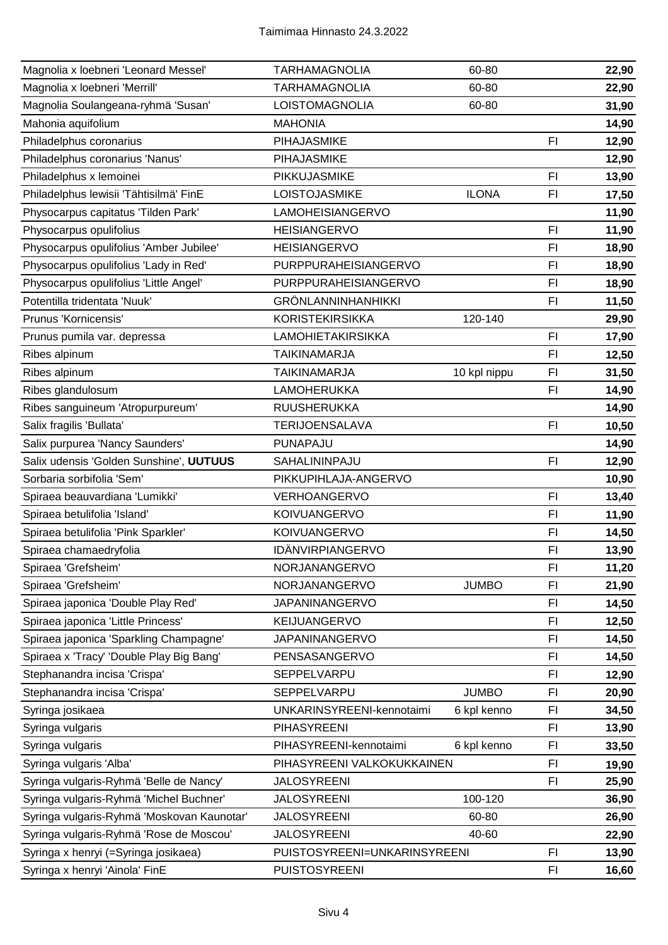| Magnolia x loebneri 'Leonard Messel'       | <b>TARHAMAGNOLIA</b>         | 60-80        |                | 22,90 |
|--------------------------------------------|------------------------------|--------------|----------------|-------|
| Magnolia x loebneri 'Merrill'              | <b>TARHAMAGNOLIA</b>         | 60-80        |                | 22,90 |
| Magnolia Soulangeana-ryhmä 'Susan'         | LOISTOMAGNOLIA               | 60-80        |                | 31,90 |
| Mahonia aquifolium                         | <b>MAHONIA</b>               |              |                | 14,90 |
| Philadelphus coronarius                    | PIHAJASMIKE                  |              | F1             | 12,90 |
| Philadelphus coronarius 'Nanus'            | PIHAJASMIKE                  |              |                | 12,90 |
| Philadelphus x lemoinei                    | PIKKUJASMIKE                 |              | F1             | 13,90 |
| Philadelphus lewisii 'Tähtisilmä' FinE     | LOISTOJASMIKE                | <b>ILONA</b> | FI             | 17,50 |
| Physocarpus capitatus 'Tilden Park'        | LAMOHEISIANGERVO             |              |                | 11,90 |
| Physocarpus opulifolius                    | <b>HEISIANGERVO</b>          |              | F1             | 11,90 |
| Physocarpus opulifolius 'Amber Jubilee'    | <b>HEISIANGERVO</b>          |              | FI             | 18,90 |
| Physocarpus opulifolius 'Lady in Red'      | PURPPURAHEISIANGERVO         |              | FI             | 18,90 |
| Physocarpus opulifolius 'Little Angel'     | PURPPURAHEISIANGERVO         |              | F1             | 18,90 |
| Potentilla tridentata 'Nuuk'               | <b>GRÖNLANNINHANHIKKI</b>    |              | F1             | 11,50 |
| Prunus 'Kornicensis'                       | <b>KORISTEKIRSIKKA</b>       | 120-140      |                | 29,90 |
| Prunus pumila var. depressa                | <b>LAMOHIETAKIRSIKKA</b>     |              | F1             | 17,90 |
| Ribes alpinum                              | <b>TAIKINAMARJA</b>          |              | F1             | 12,50 |
| Ribes alpinum                              | <b>TAIKINAMARJA</b>          | 10 kpl nippu | FI             | 31,50 |
| Ribes glandulosum                          | <b>LAMOHERUKKA</b>           |              | F1             | 14,90 |
| Ribes sanguineum 'Atropurpureum'           | <b>RUUSHERUKKA</b>           |              |                | 14,90 |
| Salix fragilis 'Bullata'                   | <b>TERIJOENSALAVA</b>        |              | F1             | 10,50 |
| Salix purpurea 'Nancy Saunders'            | PUNAPAJU                     |              |                | 14,90 |
| Salix udensis 'Golden Sunshine', UUTUUS    | SAHALININPAJU                |              | F1             | 12,90 |
| Sorbaria sorbifolia 'Sem'                  | PIKKUPIHLAJA-ANGERVO         |              |                | 10,90 |
| Spiraea beauvardiana 'Lumikki'             | VERHOANGERVO                 |              | F <sub>l</sub> | 13,40 |
| Spiraea betulifolia 'Island'               | <b>KOIVUANGERVO</b>          |              | FI             | 11,90 |
| Spiraea betulifolia 'Pink Sparkler'        | KOIVUANGERVO                 |              | F1             | 14,50 |
| Spiraea chamaedryfolia                     | IDÄNVIRPIANGERVO             |              | FI             | 13,90 |
| Spiraea 'Grefsheim'                        | NORJANANGERVO                |              | FI.            | 11,20 |
| Spiraea 'Grefsheim'                        | NORJANANGERVO                | <b>JUMBO</b> | FI             | 21,90 |
| Spiraea japonica 'Double Play Red'         | <b>JAPANINANGERVO</b>        |              | FI             | 14,50 |
| Spiraea japonica 'Little Princess'         | KEIJUANGERVO                 |              | FI             | 12,50 |
| Spiraea japonica 'Sparkling Champagne'     | <b>JAPANINANGERVO</b>        |              | FI             | 14,50 |
| Spiraea x 'Tracy' 'Double Play Big Bang'   | PENSASANGERVO                |              | FI             | 14,50 |
| Stephanandra incisa 'Crispa'               | SEPPELVARPU                  |              | FI             | 12,90 |
| Stephanandra incisa 'Crispa'               | SEPPELVARPU                  | <b>JUMBO</b> | FI             | 20,90 |
| Syringa josikaea                           | UNKARINSYREENI-kennotaimi    | 6 kpl kenno  | FI             | 34,50 |
| Syringa vulgaris                           | <b>PIHASYREENI</b>           |              | FI             | 13,90 |
| Syringa vulgaris                           | PIHASYREENI-kennotaimi       | 6 kpl kenno  | FI             | 33,50 |
| Syringa vulgaris 'Alba'                    | PIHASYREENI VALKOKUKKAINEN   |              | FI             | 19,90 |
| Syringa vulgaris-Ryhmä 'Belle de Nancy'    | <b>JALOSYREENI</b>           |              | FI             | 25,90 |
| Syringa vulgaris-Ryhmä 'Michel Buchner'    | <b>JALOSYREENI</b>           | 100-120      |                | 36,90 |
| Syringa vulgaris-Ryhmä 'Moskovan Kaunotar' | <b>JALOSYREENI</b>           | 60-80        |                | 26,90 |
| Syringa vulgaris-Ryhmä 'Rose de Moscou'    | <b>JALOSYREENI</b>           | 40-60        |                | 22,90 |
| Syringa x henryi (=Syringa josikaea)       | PUISTOSYREENI=UNKARINSYREENI |              | F1             | 13,90 |
| Syringa x henryi 'Ainola' FinE             | <b>PUISTOSYREENI</b>         |              | FI             | 16,60 |
|                                            |                              |              |                |       |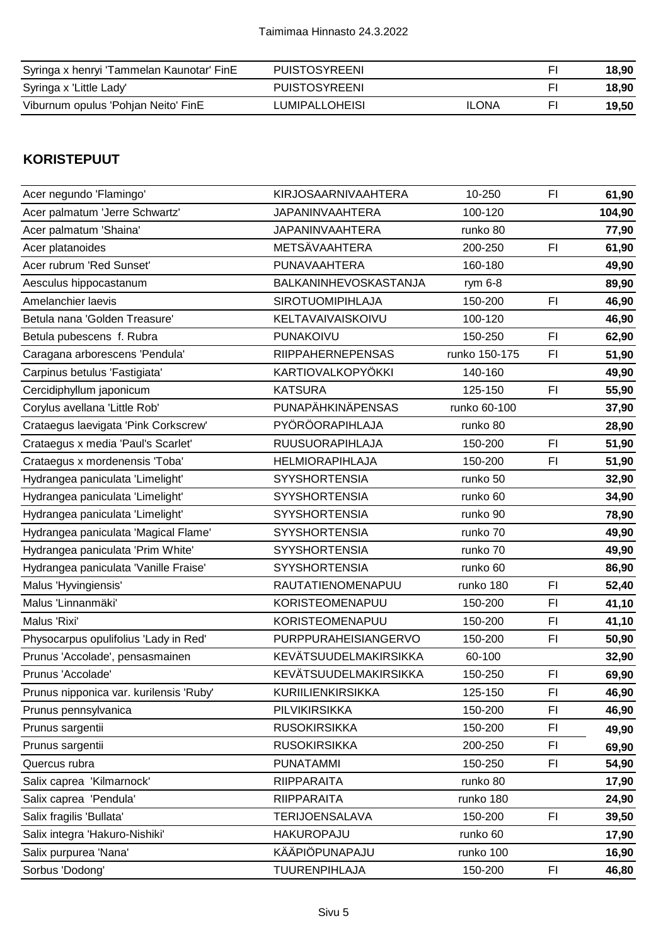| Syringa x henryi 'Tammelan Kaunotar' FinE | <b>PUISTOSYREENI</b> |              | 18.90 |
|-------------------------------------------|----------------------|--------------|-------|
| Syringa x 'Little Lady'                   | <b>PUISTOSYREENI</b> |              | 18.90 |
| Viburnum opulus 'Pohjan Neito' FinE       | LUMIPALLOHEISI       | <b>ILONA</b> | 19.50 |

#### **KORISTEPUUT**

| Acer negundo 'Flamingo'                 | <b>KIRJOSAARNIVAAHTERA</b> | 10-250        | FI | 61,90  |
|-----------------------------------------|----------------------------|---------------|----|--------|
| Acer palmatum 'Jerre Schwartz'          | <b>JAPANINVAAHTERA</b>     | 100-120       |    | 104,90 |
| Acer palmatum 'Shaina'                  | <b>JAPANINVAAHTERA</b>     | runko 80      |    | 77,90  |
| Acer platanoides                        | METSÄVAAHTERA              | 200-250       | F1 | 61,90  |
| Acer rubrum 'Red Sunset'                | PUNAVAAHTERA               | 160-180       |    | 49,90  |
| Aesculus hippocastanum                  | BALKANINHEVOSKASTANJA      | rym 6-8       |    | 89,90  |
| Amelanchier laevis                      | <b>SIROTUOMIPIHLAJA</b>    | 150-200       | F1 | 46,90  |
| Betula nana 'Golden Treasure'           | KELTAVAIVAISKOIVU          | 100-120       |    | 46,90  |
| Betula pubescens f. Rubra               | PUNAKOIVU                  | 150-250       | F1 | 62,90  |
| Caragana arborescens 'Pendula'          | <b>RIIPPAHERNEPENSAS</b>   | runko 150-175 | FI | 51,90  |
| Carpinus betulus 'Fastigiata'           | KARTIOVALKOPYÖKKI          | 140-160       |    | 49,90  |
| Cercidiphyllum japonicum                | <b>KATSURA</b>             | 125-150       | FI | 55,90  |
| Corylus avellana 'Little Rob'           | PUNAPÄHKINÄPENSAS          | runko 60-100  |    | 37,90  |
| Crataegus laevigata 'Pink Corkscrew'    | PYÖRÖORAPIHLAJA            | runko 80      |    | 28,90  |
| Crataegus x media 'Paul's Scarlet'      | <b>RUUSUORAPIHLAJA</b>     | 150-200       | FI | 51,90  |
| Crataegus x mordenensis 'Toba'          | <b>HELMIORAPIHLAJA</b>     | 150-200       | FI | 51,90  |
| Hydrangea paniculata 'Limelight'        | <b>SYYSHORTENSIA</b>       | runko 50      |    | 32,90  |
| Hydrangea paniculata 'Limelight'        | <b>SYYSHORTENSIA</b>       | runko 60      |    | 34,90  |
| Hydrangea paniculata 'Limelight'        | <b>SYYSHORTENSIA</b>       | runko 90      |    | 78,90  |
| Hydrangea paniculata 'Magical Flame'    | <b>SYYSHORTENSIA</b>       | runko 70      |    | 49,90  |
| Hydrangea paniculata 'Prim White'       | <b>SYYSHORTENSIA</b>       | runko 70      |    | 49,90  |
| Hydrangea paniculata 'Vanille Fraise'   | <b>SYYSHORTENSIA</b>       | runko 60      |    | 86,90  |
| Malus 'Hyvingiensis'                    | RAUTATIENOMENAPUU          | runko 180     | FI | 52,40  |
| Malus 'Linnanmäki'                      | KORISTEOMENAPUU            | 150-200       | F1 | 41,10  |
| Malus 'Rixi'                            | KORISTEOMENAPUU            | 150-200       | F1 | 41,10  |
| Physocarpus opulifolius 'Lady in Red'   | PURPPURAHEISIANGERVO       | 150-200       | FI | 50,90  |
| Prunus 'Accolade', pensasmainen         | KEVÄTSUUDELMAKIRSIKKA      | 60-100        |    | 32,90  |
| Prunus 'Accolade'                       | KEVÄTSUUDELMAKIRSIKKA      | 150-250       | FI | 69,90  |
| Prunus nipponica var. kurilensis 'Ruby' | KURIILIENKIRSIKKA          | 125-150       | F1 | 46,90  |
| Prunus pennsylvanica                    | PILVIKIRSIKKA              | 150-200       | F1 | 46,90  |
| Prunus sargentii                        | <b>RUSOKIRSIKKA</b>        | 150-200       | FI | 49,90  |
| Prunus sargentii                        | <b>RUSOKIRSIKKA</b>        | 200-250       | FI | 69,90  |
| Quercus rubra                           | <b>PUNATAMMI</b>           | 150-250       | FI | 54,90  |
| Salix caprea 'Kilmarnock'               | <b>RIIPPARAITA</b>         | runko 80      |    | 17,90  |
| Salix caprea 'Pendula'                  | <b>RIIPPARAITA</b>         | runko 180     |    | 24,90  |
| Salix fragilis 'Bullata'                | <b>TERIJOENSALAVA</b>      | 150-200       | F1 | 39,50  |
| Salix integra 'Hakuro-Nishiki'          | <b>HAKUROPAJU</b>          | runko 60      |    | 17,90  |
| Salix purpurea 'Nana'                   | KÄÄPIÖPUNAPAJU             | runko 100     |    | 16,90  |
| Sorbus 'Dodong'                         | <b>TUURENPIHLAJA</b>       | 150-200       | FI | 46,80  |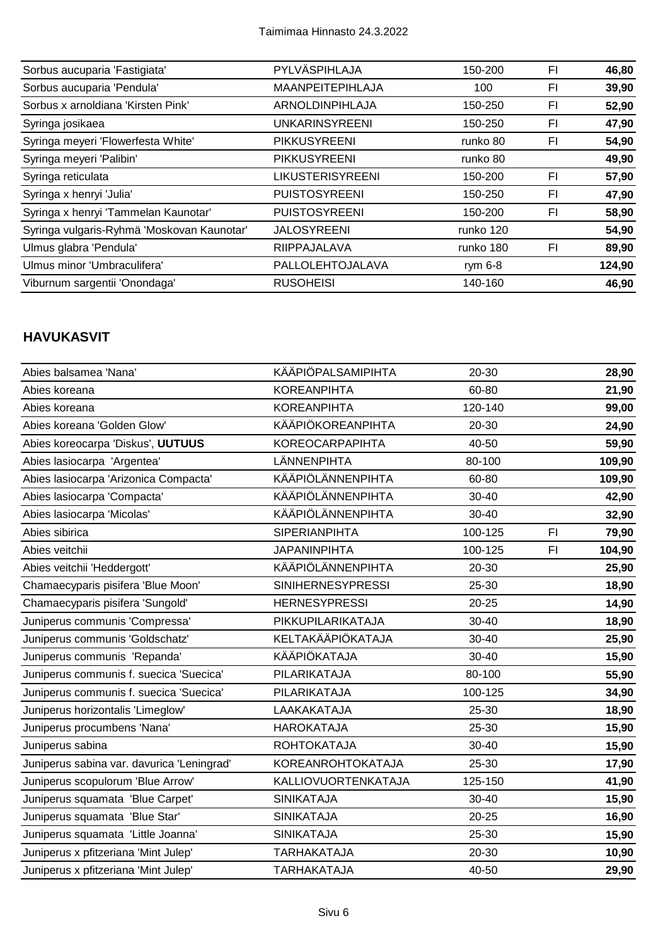| Sorbus aucuparia 'Fastigiata'              | PYLVÄSPIHLAJA           | 150-200   | FI | 46,80  |
|--------------------------------------------|-------------------------|-----------|----|--------|
| Sorbus aucuparia 'Pendula'                 | <b>MAANPEITEPIHLAJA</b> | 100       | FI | 39,90  |
| Sorbus x arnoldiana 'Kirsten Pink'         | ARNOLDINPIHLAJA         | 150-250   | FI | 52,90  |
| Syringa josikaea                           | <b>UNKARINSYREENI</b>   | 150-250   | FI | 47,90  |
| Syringa meyeri 'Flowerfesta White'         | <b>PIKKUSYREENI</b>     | runko 80  | FI | 54,90  |
| Syringa meyeri 'Palibin'                   | <b>PIKKUSYREENI</b>     | runko 80  |    | 49,90  |
| Syringa reticulata                         | <b>LIKUSTERISYREENI</b> | 150-200   | FI | 57,90  |
| Syringa x henryi 'Julia'                   | <b>PUISTOSYREENI</b>    | 150-250   | FI | 47,90  |
| Syringa x henryi 'Tammelan Kaunotar'       | <b>PUISTOSYREENI</b>    | 150-200   | FI | 58,90  |
| Syringa vulgaris-Ryhmä 'Moskovan Kaunotar' | <b>JALOSYREENI</b>      | runko 120 |    | 54,90  |
| Ulmus glabra 'Pendula'                     | RIIPPAJALAVA            | runko 180 | FI | 89,90  |
| Ulmus minor 'Umbraculifera'                | PALLOLEHTOJALAVA        | rym $6-8$ |    | 124,90 |
| Viburnum sargentii 'Onondaga'              | <b>RUSOHEISI</b>        | 140-160   |    | 46,90  |

#### **HAVUKASVIT**

| Abies balsamea 'Nana'                      | <b>KÄÄPIÖPALSAMIPIHTA</b> | 20-30     |    | 28,90  |
|--------------------------------------------|---------------------------|-----------|----|--------|
| Abies koreana                              | <b>KOREANPIHTA</b>        | 60-80     |    | 21,90  |
| Abies koreana                              | <b>KOREANPIHTA</b>        | 120-140   |    | 99,00  |
| Abies koreana 'Golden Glow'                | KÄÄPIÖKOREANPIHTA         | 20-30     |    | 24,90  |
| Abies koreocarpa 'Diskus', UUTUUS          | <b>KOREOCARPAPIHTA</b>    | 40-50     |    | 59,90  |
| Abies lasiocarpa 'Argentea'                | LÄNNENPIHTA               | 80-100    |    | 109,90 |
| Abies lasiocarpa 'Arizonica Compacta'      | KÄÄPIÖLÄNNENPIHTA         | 60-80     |    | 109,90 |
| Abies lasiocarpa 'Compacta'                | KÄÄPIÖLÄNNENPIHTA         | 30-40     |    | 42,90  |
| Abies lasiocarpa 'Micolas'                 | KÄÄPIÖLÄNNENPIHTA         | 30-40     |    | 32,90  |
| Abies sibirica                             | <b>SIPERIANPIHTA</b>      | 100-125   | F1 | 79,90  |
| Abies veitchii                             | <b>JAPANINPIHTA</b>       | 100-125   | F1 | 104,90 |
| Abies veitchii 'Heddergott'                | KÄÄPIÖLÄNNENPIHTA         | 20-30     |    | 25,90  |
| Chamaecyparis pisifera 'Blue Moon'         | <b>SINIHERNESYPRESSI</b>  | 25-30     |    | 18,90  |
| Chamaecyparis pisifera 'Sungold'           | <b>HERNESYPRESSI</b>      | $20 - 25$ |    | 14,90  |
| Juniperus communis 'Compressa'             | PIKKUPILARIKATAJA         | $30 - 40$ |    | 18,90  |
| Juniperus communis 'Goldschatz'            | KELTAKÄÄPIÖKATAJA         | 30-40     |    | 25,90  |
| Juniperus communis 'Repanda'               | KÄÄPIÖKATAJA              | 30-40     |    | 15,90  |
| Juniperus communis f. suecica 'Suecica'    | PILARIKATAJA              | 80-100    |    | 55,90  |
| Juniperus communis f. suecica 'Suecica'    | PILARIKATAJA              | 100-125   |    | 34,90  |
| Juniperus horizontalis 'Limeglow'          | LAAKAKATAJA               | 25-30     |    | 18,90  |
| Juniperus procumbens 'Nana'                | <b>HAROKATAJA</b>         | 25-30     |    | 15,90  |
| Juniperus sabina                           | <b>ROHTOKATAJA</b>        | $30 - 40$ |    | 15,90  |
| Juniperus sabina var. davurica 'Leningrad' | KOREANROHTOKATAJA         | 25-30     |    | 17,90  |
| Juniperus scopulorum 'Blue Arrow'          | KALLIOVUORTENKATAJA       | 125-150   |    | 41,90  |
| Juniperus squamata 'Blue Carpet'           | <b>SINIKATAJA</b>         | 30-40     |    | 15,90  |
| Juniperus squamata 'Blue Star'             | <b>SINIKATAJA</b>         | $20 - 25$ |    | 16,90  |
| Juniperus squamata 'Little Joanna'         | <b>SINIKATAJA</b>         | 25-30     |    | 15,90  |
| Juniperus x pfitzeriana 'Mint Julep'       | <b>TARHAKATAJA</b>        | 20-30     |    | 10,90  |
| Juniperus x pfitzeriana 'Mint Julep'       | <b>TARHAKATAJA</b>        | 40-50     |    | 29,90  |
|                                            |                           |           |    |        |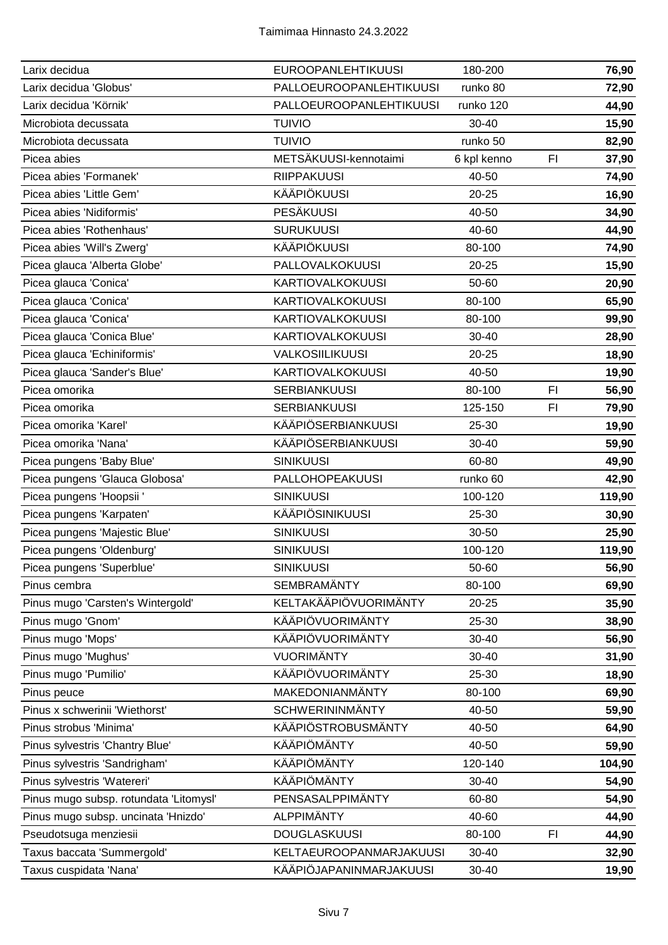| PALLOEUROOPANLEHTIKUUSI<br>Larix decidua 'Globus'<br>runko 80<br>72,90<br>Larix decidua 'Körnik'<br>PALLOEUROOPANLEHTIKUUSI<br>runko 120<br>44,90<br>Microbiota decussata<br><b>TUIVIO</b><br>$30 - 40$<br>15,90<br><b>TUIVIO</b><br>runko 50<br>Microbiota decussata<br>82,90<br>METSÄKUUSI-kennotaimi<br>F <sub>l</sub><br>Picea abies<br>6 kpl kenno<br>37,90<br>Picea abies 'Formanek'<br><b>RIIPPAKUUSI</b><br>40-50<br>74,90<br><b>KÄÄPIÖKUUSI</b><br>Picea abies 'Little Gem'<br>20-25<br>16,90<br><b>PESÄKUUSI</b><br>Picea abies 'Nidiformis'<br>40-50<br>34,90<br>Picea abies 'Rothenhaus'<br><b>SURUKUUSI</b><br>40-60<br>44,90<br><b>KÄÄPIÖKUUSI</b><br>80-100<br>Picea abies 'Will's Zwerg'<br>74,90<br>PALLOVALKOKUUSI<br>Picea glauca 'Alberta Globe'<br>$20 - 25$<br>15,90<br><b>KARTIOVALKOKUUSI</b><br>Picea glauca 'Conica'<br>50-60<br>20,90<br>Picea glauca 'Conica'<br><b>KARTIOVALKOKUUSI</b><br>80-100<br>65,90<br>Picea glauca 'Conica'<br><b>KARTIOVALKOKUUSI</b><br>80-100<br>99,90<br><b>KARTIOVALKOKUUSI</b><br>Picea glauca 'Conica Blue'<br>30-40<br>28,90<br>Picea glauca 'Echiniformis'<br>VALKOSIILIKUUSI<br>$20 - 25$<br>18,90<br>Picea glauca 'Sander's Blue'<br><b>KARTIOVALKOKUUSI</b><br>40-50<br>19,90<br><b>SERBIANKUUSI</b><br>80-100<br>F1<br>Picea omorika<br>56,90<br><b>SERBIANKUUSI</b><br>Picea omorika<br>125-150<br>FI<br>79,90<br>KÄÄPIÖSERBIANKUUSI<br>Picea omorika 'Karel'<br>25-30<br>19,90<br>KÄÄPIÖSERBIANKUUSI<br>Picea omorika 'Nana'<br>30-40<br>59,90<br><b>SINIKUUSI</b><br>Picea pungens 'Baby Blue'<br>60-80<br>49,90<br>Picea pungens 'Glauca Globosa'<br><b>PALLOHOPEAKUUSI</b><br>runko 60<br>42,90<br>Picea pungens 'Hoopsii '<br><b>SINIKUUSI</b><br>119,90<br>100-120<br>KÄÄPIÖSINIKUUSI<br>Picea pungens 'Karpaten'<br>25-30<br>30,90<br>Picea pungens 'Majestic Blue'<br><b>SINIKUUSI</b><br>30-50<br>25,90<br>Picea pungens 'Oldenburg'<br><b>SINIKUUSI</b><br>119,90<br>100-120<br>Picea pungens 'Superblue'<br><b>SINIKUUSI</b><br>50-60<br>56,90<br><b>SEMBRAMÄNTY</b><br>80-100<br>69,90<br>Pinus cembra<br>KELTAKÄÄPIÖVUORIMÄNTY<br>Pinus mugo 'Carsten's Wintergold'<br>$20 - 25$<br>35,90<br>KÄÄPIÖVUORIMÄNTY<br>Pinus mugo 'Gnom'<br>25-30<br>38,90<br>KÄÄPIÖVUORIMÄNTY<br>Pinus mugo 'Mops'<br>30-40<br>56,90<br><b>VUORIMÄNTY</b><br>Pinus mugo 'Mughus'<br>$30 - 40$<br>31,90<br>KÄÄPIÖVUORIMÄNTY<br>Pinus mugo 'Pumilio'<br>25-30<br>18,90<br>MAKEDONIANMÄNTY<br>80-100<br>Pinus peuce<br>69,90<br><b>SCHWERININMÄNTY</b><br>Pinus x schwerinii 'Wiethorst'<br>40-50<br>59,90<br><b>KÄÄPIÖSTROBUSMÄNTY</b><br>Pinus strobus 'Minima'<br>40-50<br>64,90<br>KÄÄPIÖMÄNTY<br>Pinus sylvestris 'Chantry Blue'<br>40-50<br>59,90 | <b>EUROOPANLEHTIKUUSI</b><br>Larix decidua        | 180-200 | 76,90 |
|-----------------------------------------------------------------------------------------------------------------------------------------------------------------------------------------------------------------------------------------------------------------------------------------------------------------------------------------------------------------------------------------------------------------------------------------------------------------------------------------------------------------------------------------------------------------------------------------------------------------------------------------------------------------------------------------------------------------------------------------------------------------------------------------------------------------------------------------------------------------------------------------------------------------------------------------------------------------------------------------------------------------------------------------------------------------------------------------------------------------------------------------------------------------------------------------------------------------------------------------------------------------------------------------------------------------------------------------------------------------------------------------------------------------------------------------------------------------------------------------------------------------------------------------------------------------------------------------------------------------------------------------------------------------------------------------------------------------------------------------------------------------------------------------------------------------------------------------------------------------------------------------------------------------------------------------------------------------------------------------------------------------------------------------------------------------------------------------------------------------------------------------------------------------------------------------------------------------------------------------------------------------------------------------------------------------------------------------------------------------------------------------------------------------------------------------------------------------------------------------------------------------------------------------------------------------------------------------------------------------------------------------------------------------------------------------------------------------|---------------------------------------------------|---------|-------|
|                                                                                                                                                                                                                                                                                                                                                                                                                                                                                                                                                                                                                                                                                                                                                                                                                                                                                                                                                                                                                                                                                                                                                                                                                                                                                                                                                                                                                                                                                                                                                                                                                                                                                                                                                                                                                                                                                                                                                                                                                                                                                                                                                                                                                                                                                                                                                                                                                                                                                                                                                                                                                                                                                                                 |                                                   |         |       |
|                                                                                                                                                                                                                                                                                                                                                                                                                                                                                                                                                                                                                                                                                                                                                                                                                                                                                                                                                                                                                                                                                                                                                                                                                                                                                                                                                                                                                                                                                                                                                                                                                                                                                                                                                                                                                                                                                                                                                                                                                                                                                                                                                                                                                                                                                                                                                                                                                                                                                                                                                                                                                                                                                                                 |                                                   |         |       |
|                                                                                                                                                                                                                                                                                                                                                                                                                                                                                                                                                                                                                                                                                                                                                                                                                                                                                                                                                                                                                                                                                                                                                                                                                                                                                                                                                                                                                                                                                                                                                                                                                                                                                                                                                                                                                                                                                                                                                                                                                                                                                                                                                                                                                                                                                                                                                                                                                                                                                                                                                                                                                                                                                                                 |                                                   |         |       |
|                                                                                                                                                                                                                                                                                                                                                                                                                                                                                                                                                                                                                                                                                                                                                                                                                                                                                                                                                                                                                                                                                                                                                                                                                                                                                                                                                                                                                                                                                                                                                                                                                                                                                                                                                                                                                                                                                                                                                                                                                                                                                                                                                                                                                                                                                                                                                                                                                                                                                                                                                                                                                                                                                                                 |                                                   |         |       |
|                                                                                                                                                                                                                                                                                                                                                                                                                                                                                                                                                                                                                                                                                                                                                                                                                                                                                                                                                                                                                                                                                                                                                                                                                                                                                                                                                                                                                                                                                                                                                                                                                                                                                                                                                                                                                                                                                                                                                                                                                                                                                                                                                                                                                                                                                                                                                                                                                                                                                                                                                                                                                                                                                                                 |                                                   |         |       |
|                                                                                                                                                                                                                                                                                                                                                                                                                                                                                                                                                                                                                                                                                                                                                                                                                                                                                                                                                                                                                                                                                                                                                                                                                                                                                                                                                                                                                                                                                                                                                                                                                                                                                                                                                                                                                                                                                                                                                                                                                                                                                                                                                                                                                                                                                                                                                                                                                                                                                                                                                                                                                                                                                                                 |                                                   |         |       |
|                                                                                                                                                                                                                                                                                                                                                                                                                                                                                                                                                                                                                                                                                                                                                                                                                                                                                                                                                                                                                                                                                                                                                                                                                                                                                                                                                                                                                                                                                                                                                                                                                                                                                                                                                                                                                                                                                                                                                                                                                                                                                                                                                                                                                                                                                                                                                                                                                                                                                                                                                                                                                                                                                                                 |                                                   |         |       |
|                                                                                                                                                                                                                                                                                                                                                                                                                                                                                                                                                                                                                                                                                                                                                                                                                                                                                                                                                                                                                                                                                                                                                                                                                                                                                                                                                                                                                                                                                                                                                                                                                                                                                                                                                                                                                                                                                                                                                                                                                                                                                                                                                                                                                                                                                                                                                                                                                                                                                                                                                                                                                                                                                                                 |                                                   |         |       |
|                                                                                                                                                                                                                                                                                                                                                                                                                                                                                                                                                                                                                                                                                                                                                                                                                                                                                                                                                                                                                                                                                                                                                                                                                                                                                                                                                                                                                                                                                                                                                                                                                                                                                                                                                                                                                                                                                                                                                                                                                                                                                                                                                                                                                                                                                                                                                                                                                                                                                                                                                                                                                                                                                                                 |                                                   |         |       |
|                                                                                                                                                                                                                                                                                                                                                                                                                                                                                                                                                                                                                                                                                                                                                                                                                                                                                                                                                                                                                                                                                                                                                                                                                                                                                                                                                                                                                                                                                                                                                                                                                                                                                                                                                                                                                                                                                                                                                                                                                                                                                                                                                                                                                                                                                                                                                                                                                                                                                                                                                                                                                                                                                                                 |                                                   |         |       |
|                                                                                                                                                                                                                                                                                                                                                                                                                                                                                                                                                                                                                                                                                                                                                                                                                                                                                                                                                                                                                                                                                                                                                                                                                                                                                                                                                                                                                                                                                                                                                                                                                                                                                                                                                                                                                                                                                                                                                                                                                                                                                                                                                                                                                                                                                                                                                                                                                                                                                                                                                                                                                                                                                                                 |                                                   |         |       |
|                                                                                                                                                                                                                                                                                                                                                                                                                                                                                                                                                                                                                                                                                                                                                                                                                                                                                                                                                                                                                                                                                                                                                                                                                                                                                                                                                                                                                                                                                                                                                                                                                                                                                                                                                                                                                                                                                                                                                                                                                                                                                                                                                                                                                                                                                                                                                                                                                                                                                                                                                                                                                                                                                                                 |                                                   |         |       |
|                                                                                                                                                                                                                                                                                                                                                                                                                                                                                                                                                                                                                                                                                                                                                                                                                                                                                                                                                                                                                                                                                                                                                                                                                                                                                                                                                                                                                                                                                                                                                                                                                                                                                                                                                                                                                                                                                                                                                                                                                                                                                                                                                                                                                                                                                                                                                                                                                                                                                                                                                                                                                                                                                                                 |                                                   |         |       |
|                                                                                                                                                                                                                                                                                                                                                                                                                                                                                                                                                                                                                                                                                                                                                                                                                                                                                                                                                                                                                                                                                                                                                                                                                                                                                                                                                                                                                                                                                                                                                                                                                                                                                                                                                                                                                                                                                                                                                                                                                                                                                                                                                                                                                                                                                                                                                                                                                                                                                                                                                                                                                                                                                                                 |                                                   |         |       |
|                                                                                                                                                                                                                                                                                                                                                                                                                                                                                                                                                                                                                                                                                                                                                                                                                                                                                                                                                                                                                                                                                                                                                                                                                                                                                                                                                                                                                                                                                                                                                                                                                                                                                                                                                                                                                                                                                                                                                                                                                                                                                                                                                                                                                                                                                                                                                                                                                                                                                                                                                                                                                                                                                                                 |                                                   |         |       |
|                                                                                                                                                                                                                                                                                                                                                                                                                                                                                                                                                                                                                                                                                                                                                                                                                                                                                                                                                                                                                                                                                                                                                                                                                                                                                                                                                                                                                                                                                                                                                                                                                                                                                                                                                                                                                                                                                                                                                                                                                                                                                                                                                                                                                                                                                                                                                                                                                                                                                                                                                                                                                                                                                                                 |                                                   |         |       |
|                                                                                                                                                                                                                                                                                                                                                                                                                                                                                                                                                                                                                                                                                                                                                                                                                                                                                                                                                                                                                                                                                                                                                                                                                                                                                                                                                                                                                                                                                                                                                                                                                                                                                                                                                                                                                                                                                                                                                                                                                                                                                                                                                                                                                                                                                                                                                                                                                                                                                                                                                                                                                                                                                                                 |                                                   |         |       |
|                                                                                                                                                                                                                                                                                                                                                                                                                                                                                                                                                                                                                                                                                                                                                                                                                                                                                                                                                                                                                                                                                                                                                                                                                                                                                                                                                                                                                                                                                                                                                                                                                                                                                                                                                                                                                                                                                                                                                                                                                                                                                                                                                                                                                                                                                                                                                                                                                                                                                                                                                                                                                                                                                                                 |                                                   |         |       |
|                                                                                                                                                                                                                                                                                                                                                                                                                                                                                                                                                                                                                                                                                                                                                                                                                                                                                                                                                                                                                                                                                                                                                                                                                                                                                                                                                                                                                                                                                                                                                                                                                                                                                                                                                                                                                                                                                                                                                                                                                                                                                                                                                                                                                                                                                                                                                                                                                                                                                                                                                                                                                                                                                                                 |                                                   |         |       |
|                                                                                                                                                                                                                                                                                                                                                                                                                                                                                                                                                                                                                                                                                                                                                                                                                                                                                                                                                                                                                                                                                                                                                                                                                                                                                                                                                                                                                                                                                                                                                                                                                                                                                                                                                                                                                                                                                                                                                                                                                                                                                                                                                                                                                                                                                                                                                                                                                                                                                                                                                                                                                                                                                                                 |                                                   |         |       |
|                                                                                                                                                                                                                                                                                                                                                                                                                                                                                                                                                                                                                                                                                                                                                                                                                                                                                                                                                                                                                                                                                                                                                                                                                                                                                                                                                                                                                                                                                                                                                                                                                                                                                                                                                                                                                                                                                                                                                                                                                                                                                                                                                                                                                                                                                                                                                                                                                                                                                                                                                                                                                                                                                                                 |                                                   |         |       |
|                                                                                                                                                                                                                                                                                                                                                                                                                                                                                                                                                                                                                                                                                                                                                                                                                                                                                                                                                                                                                                                                                                                                                                                                                                                                                                                                                                                                                                                                                                                                                                                                                                                                                                                                                                                                                                                                                                                                                                                                                                                                                                                                                                                                                                                                                                                                                                                                                                                                                                                                                                                                                                                                                                                 |                                                   |         |       |
|                                                                                                                                                                                                                                                                                                                                                                                                                                                                                                                                                                                                                                                                                                                                                                                                                                                                                                                                                                                                                                                                                                                                                                                                                                                                                                                                                                                                                                                                                                                                                                                                                                                                                                                                                                                                                                                                                                                                                                                                                                                                                                                                                                                                                                                                                                                                                                                                                                                                                                                                                                                                                                                                                                                 |                                                   |         |       |
|                                                                                                                                                                                                                                                                                                                                                                                                                                                                                                                                                                                                                                                                                                                                                                                                                                                                                                                                                                                                                                                                                                                                                                                                                                                                                                                                                                                                                                                                                                                                                                                                                                                                                                                                                                                                                                                                                                                                                                                                                                                                                                                                                                                                                                                                                                                                                                                                                                                                                                                                                                                                                                                                                                                 |                                                   |         |       |
|                                                                                                                                                                                                                                                                                                                                                                                                                                                                                                                                                                                                                                                                                                                                                                                                                                                                                                                                                                                                                                                                                                                                                                                                                                                                                                                                                                                                                                                                                                                                                                                                                                                                                                                                                                                                                                                                                                                                                                                                                                                                                                                                                                                                                                                                                                                                                                                                                                                                                                                                                                                                                                                                                                                 |                                                   |         |       |
|                                                                                                                                                                                                                                                                                                                                                                                                                                                                                                                                                                                                                                                                                                                                                                                                                                                                                                                                                                                                                                                                                                                                                                                                                                                                                                                                                                                                                                                                                                                                                                                                                                                                                                                                                                                                                                                                                                                                                                                                                                                                                                                                                                                                                                                                                                                                                                                                                                                                                                                                                                                                                                                                                                                 |                                                   |         |       |
|                                                                                                                                                                                                                                                                                                                                                                                                                                                                                                                                                                                                                                                                                                                                                                                                                                                                                                                                                                                                                                                                                                                                                                                                                                                                                                                                                                                                                                                                                                                                                                                                                                                                                                                                                                                                                                                                                                                                                                                                                                                                                                                                                                                                                                                                                                                                                                                                                                                                                                                                                                                                                                                                                                                 |                                                   |         |       |
|                                                                                                                                                                                                                                                                                                                                                                                                                                                                                                                                                                                                                                                                                                                                                                                                                                                                                                                                                                                                                                                                                                                                                                                                                                                                                                                                                                                                                                                                                                                                                                                                                                                                                                                                                                                                                                                                                                                                                                                                                                                                                                                                                                                                                                                                                                                                                                                                                                                                                                                                                                                                                                                                                                                 |                                                   |         |       |
|                                                                                                                                                                                                                                                                                                                                                                                                                                                                                                                                                                                                                                                                                                                                                                                                                                                                                                                                                                                                                                                                                                                                                                                                                                                                                                                                                                                                                                                                                                                                                                                                                                                                                                                                                                                                                                                                                                                                                                                                                                                                                                                                                                                                                                                                                                                                                                                                                                                                                                                                                                                                                                                                                                                 |                                                   |         |       |
|                                                                                                                                                                                                                                                                                                                                                                                                                                                                                                                                                                                                                                                                                                                                                                                                                                                                                                                                                                                                                                                                                                                                                                                                                                                                                                                                                                                                                                                                                                                                                                                                                                                                                                                                                                                                                                                                                                                                                                                                                                                                                                                                                                                                                                                                                                                                                                                                                                                                                                                                                                                                                                                                                                                 |                                                   |         |       |
|                                                                                                                                                                                                                                                                                                                                                                                                                                                                                                                                                                                                                                                                                                                                                                                                                                                                                                                                                                                                                                                                                                                                                                                                                                                                                                                                                                                                                                                                                                                                                                                                                                                                                                                                                                                                                                                                                                                                                                                                                                                                                                                                                                                                                                                                                                                                                                                                                                                                                                                                                                                                                                                                                                                 |                                                   |         |       |
|                                                                                                                                                                                                                                                                                                                                                                                                                                                                                                                                                                                                                                                                                                                                                                                                                                                                                                                                                                                                                                                                                                                                                                                                                                                                                                                                                                                                                                                                                                                                                                                                                                                                                                                                                                                                                                                                                                                                                                                                                                                                                                                                                                                                                                                                                                                                                                                                                                                                                                                                                                                                                                                                                                                 |                                                   |         |       |
|                                                                                                                                                                                                                                                                                                                                                                                                                                                                                                                                                                                                                                                                                                                                                                                                                                                                                                                                                                                                                                                                                                                                                                                                                                                                                                                                                                                                                                                                                                                                                                                                                                                                                                                                                                                                                                                                                                                                                                                                                                                                                                                                                                                                                                                                                                                                                                                                                                                                                                                                                                                                                                                                                                                 |                                                   |         |       |
|                                                                                                                                                                                                                                                                                                                                                                                                                                                                                                                                                                                                                                                                                                                                                                                                                                                                                                                                                                                                                                                                                                                                                                                                                                                                                                                                                                                                                                                                                                                                                                                                                                                                                                                                                                                                                                                                                                                                                                                                                                                                                                                                                                                                                                                                                                                                                                                                                                                                                                                                                                                                                                                                                                                 |                                                   |         |       |
|                                                                                                                                                                                                                                                                                                                                                                                                                                                                                                                                                                                                                                                                                                                                                                                                                                                                                                                                                                                                                                                                                                                                                                                                                                                                                                                                                                                                                                                                                                                                                                                                                                                                                                                                                                                                                                                                                                                                                                                                                                                                                                                                                                                                                                                                                                                                                                                                                                                                                                                                                                                                                                                                                                                 |                                                   |         |       |
|                                                                                                                                                                                                                                                                                                                                                                                                                                                                                                                                                                                                                                                                                                                                                                                                                                                                                                                                                                                                                                                                                                                                                                                                                                                                                                                                                                                                                                                                                                                                                                                                                                                                                                                                                                                                                                                                                                                                                                                                                                                                                                                                                                                                                                                                                                                                                                                                                                                                                                                                                                                                                                                                                                                 |                                                   |         |       |
|                                                                                                                                                                                                                                                                                                                                                                                                                                                                                                                                                                                                                                                                                                                                                                                                                                                                                                                                                                                                                                                                                                                                                                                                                                                                                                                                                                                                                                                                                                                                                                                                                                                                                                                                                                                                                                                                                                                                                                                                                                                                                                                                                                                                                                                                                                                                                                                                                                                                                                                                                                                                                                                                                                                 |                                                   |         |       |
|                                                                                                                                                                                                                                                                                                                                                                                                                                                                                                                                                                                                                                                                                                                                                                                                                                                                                                                                                                                                                                                                                                                                                                                                                                                                                                                                                                                                                                                                                                                                                                                                                                                                                                                                                                                                                                                                                                                                                                                                                                                                                                                                                                                                                                                                                                                                                                                                                                                                                                                                                                                                                                                                                                                 |                                                   |         |       |
| KÄÄPIÖMÄNTY<br>Pinus sylvestris 'Sandrigham'<br>120-140<br>104,90                                                                                                                                                                                                                                                                                                                                                                                                                                                                                                                                                                                                                                                                                                                                                                                                                                                                                                                                                                                                                                                                                                                                                                                                                                                                                                                                                                                                                                                                                                                                                                                                                                                                                                                                                                                                                                                                                                                                                                                                                                                                                                                                                                                                                                                                                                                                                                                                                                                                                                                                                                                                                                               |                                                   |         |       |
| KÄÄPIÖMÄNTY<br>Pinus sylvestris 'Watereri'<br>30-40<br>54,90                                                                                                                                                                                                                                                                                                                                                                                                                                                                                                                                                                                                                                                                                                                                                                                                                                                                                                                                                                                                                                                                                                                                                                                                                                                                                                                                                                                                                                                                                                                                                                                                                                                                                                                                                                                                                                                                                                                                                                                                                                                                                                                                                                                                                                                                                                                                                                                                                                                                                                                                                                                                                                                    |                                                   |         |       |
| PENSASALPPIMÄNTY<br>Pinus mugo subsp. rotundata 'Litomysl'<br>60-80<br>54,90                                                                                                                                                                                                                                                                                                                                                                                                                                                                                                                                                                                                                                                                                                                                                                                                                                                                                                                                                                                                                                                                                                                                                                                                                                                                                                                                                                                                                                                                                                                                                                                                                                                                                                                                                                                                                                                                                                                                                                                                                                                                                                                                                                                                                                                                                                                                                                                                                                                                                                                                                                                                                                    |                                                   |         |       |
| <b>ALPPIMÄNTY</b><br>Pinus mugo subsp. uncinata 'Hnizdo'<br>40-60<br>44,90                                                                                                                                                                                                                                                                                                                                                                                                                                                                                                                                                                                                                                                                                                                                                                                                                                                                                                                                                                                                                                                                                                                                                                                                                                                                                                                                                                                                                                                                                                                                                                                                                                                                                                                                                                                                                                                                                                                                                                                                                                                                                                                                                                                                                                                                                                                                                                                                                                                                                                                                                                                                                                      |                                                   |         |       |
| <b>DOUGLASKUUSI</b><br>Pseudotsuga menziesii<br>80-100<br>44,90<br>FI                                                                                                                                                                                                                                                                                                                                                                                                                                                                                                                                                                                                                                                                                                                                                                                                                                                                                                                                                                                                                                                                                                                                                                                                                                                                                                                                                                                                                                                                                                                                                                                                                                                                                                                                                                                                                                                                                                                                                                                                                                                                                                                                                                                                                                                                                                                                                                                                                                                                                                                                                                                                                                           |                                                   |         |       |
| KELTAEUROOPANMARJAKUUSI<br>Taxus baccata 'Summergold'<br>30-40<br>32,90                                                                                                                                                                                                                                                                                                                                                                                                                                                                                                                                                                                                                                                                                                                                                                                                                                                                                                                                                                                                                                                                                                                                                                                                                                                                                                                                                                                                                                                                                                                                                                                                                                                                                                                                                                                                                                                                                                                                                                                                                                                                                                                                                                                                                                                                                                                                                                                                                                                                                                                                                                                                                                         |                                                   |         |       |
|                                                                                                                                                                                                                                                                                                                                                                                                                                                                                                                                                                                                                                                                                                                                                                                                                                                                                                                                                                                                                                                                                                                                                                                                                                                                                                                                                                                                                                                                                                                                                                                                                                                                                                                                                                                                                                                                                                                                                                                                                                                                                                                                                                                                                                                                                                                                                                                                                                                                                                                                                                                                                                                                                                                 | KÄÄPIÖJAPANINMARJAKUUSI<br>Taxus cuspidata 'Nana' | 30-40   | 19,90 |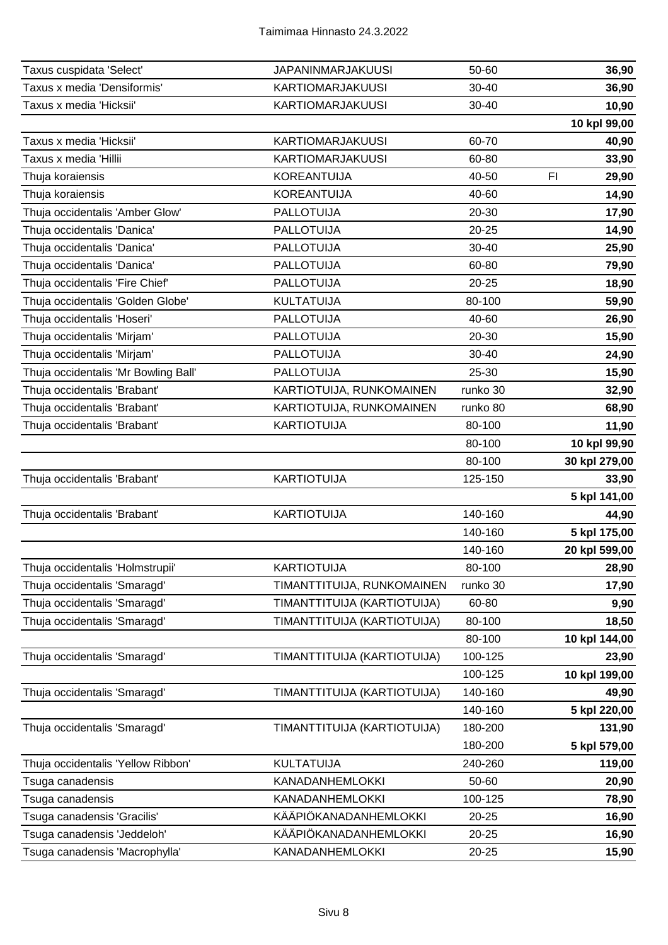| Taxus cuspidata 'Select'             | <b>JAPANINMARJAKUUSI</b>    | 50-60     | 36,90         |
|--------------------------------------|-----------------------------|-----------|---------------|
| Taxus x media 'Densiformis'          | <b>KARTIOMARJAKUUSI</b>     | 30-40     | 36,90         |
| Taxus x media 'Hicksii'              | <b>KARTIOMARJAKUUSI</b>     | 30-40     | 10,90         |
|                                      |                             |           | 10 kpl 99,00  |
| Taxus x media 'Hicksii'              | <b>KARTIOMARJAKUUSI</b>     | 60-70     | 40,90         |
| Taxus x media 'Hillii                | <b>KARTIOMARJAKUUSI</b>     | 60-80     | 33,90         |
| Thuja koraiensis                     | <b>KOREANTUIJA</b>          | 40-50     | FI<br>29,90   |
| Thuja koraiensis                     | <b>KOREANTUIJA</b>          | 40-60     | 14,90         |
| Thuja occidentalis 'Amber Glow'      | <b>PALLOTUIJA</b>           | 20-30     | 17,90         |
| Thuja occidentalis 'Danica'          | <b>PALLOTUIJA</b>           | $20 - 25$ | 14,90         |
| Thuja occidentalis 'Danica'          | PALLOTUIJA                  | 30-40     | 25,90         |
| Thuja occidentalis 'Danica'          | <b>PALLOTUIJA</b>           | 60-80     | 79,90         |
| Thuja occidentalis 'Fire Chief'      | <b>PALLOTUIJA</b>           | $20 - 25$ | 18,90         |
| Thuja occidentalis 'Golden Globe'    | <b>KULTATUIJA</b>           | 80-100    | 59,90         |
| Thuja occidentalis 'Hoseri'          | <b>PALLOTUIJA</b>           | 40-60     | 26,90         |
| Thuja occidentalis 'Mirjam'          | <b>PALLOTUIJA</b>           | 20-30     | 15,90         |
| Thuja occidentalis 'Mirjam'          | <b>PALLOTUIJA</b>           | $30 - 40$ | 24,90         |
| Thuja occidentalis 'Mr Bowling Ball' | <b>PALLOTUIJA</b>           | 25-30     | 15,90         |
| Thuja occidentalis 'Brabant'         | KARTIOTUIJA, RUNKOMAINEN    | runko 30  | 32,90         |
| Thuja occidentalis 'Brabant'         | KARTIOTUIJA, RUNKOMAINEN    | runko 80  | 68,90         |
| Thuja occidentalis 'Brabant'         | <b>KARTIOTUIJA</b>          | 80-100    | 11,90         |
|                                      |                             | 80-100    | 10 kpl 99,90  |
|                                      |                             | 80-100    | 30 kpl 279,00 |
| Thuja occidentalis 'Brabant'         | <b>KARTIOTUIJA</b>          | 125-150   | 33,90         |
|                                      |                             |           | 5 kpl 141,00  |
| Thuja occidentalis 'Brabant'         | <b>KARTIOTUIJA</b>          | 140-160   | 44,90         |
|                                      |                             | 140-160   | 5 kpl 175,00  |
|                                      |                             | 140-160   | 20 kpl 599,00 |
| Thuja occidentalis 'Holmstrupii'     | <b>KARTIOTUIJA</b>          | 80-100    | 28,90         |
| Thuja occidentalis 'Smaragd'         | TIMANTTITUIJA, RUNKOMAINEN  | runko 30  | 17,90         |
| Thuja occidentalis 'Smaragd'         | TIMANTTITUIJA (KARTIOTUIJA) | 60-80     | 9,90          |
| Thuja occidentalis 'Smaragd'         | TIMANTTITUIJA (KARTIOTUIJA) | 80-100    | 18,50         |
|                                      |                             | 80-100    | 10 kpl 144,00 |
| Thuja occidentalis 'Smaragd'         | TIMANTTITUIJA (KARTIOTUIJA) | 100-125   | 23,90         |
|                                      |                             | 100-125   | 10 kpl 199,00 |
| Thuja occidentalis 'Smaragd'         | TIMANTTITUIJA (KARTIOTUIJA) | 140-160   | 49,90         |
|                                      |                             | 140-160   | 5 kpl 220,00  |
| Thuja occidentalis 'Smaragd'         | TIMANTTITUIJA (KARTIOTUIJA) | 180-200   | 131,90        |
|                                      |                             | 180-200   | 5 kpl 579,00  |
| Thuja occidentalis 'Yellow Ribbon'   | <b>KULTATUIJA</b>           | 240-260   | 119,00        |
| Tsuga canadensis                     | <b>KANADANHEMLOKKI</b>      | 50-60     | 20,90         |
| Tsuga canadensis                     | KANADANHEMLOKKI             | 100-125   | 78,90         |
| Tsuga canadensis 'Gracilis'          | KÄÄPIÖKANADANHEMLOKKI       | $20 - 25$ | 16,90         |
| Tsuga canadensis 'Jeddeloh'          | KÄÄPIÖKANADANHEMLOKKI       | 20-25     | 16,90         |
| Tsuga canadensis 'Macrophylla'       | KANADANHEMLOKKI             | 20-25     | 15,90         |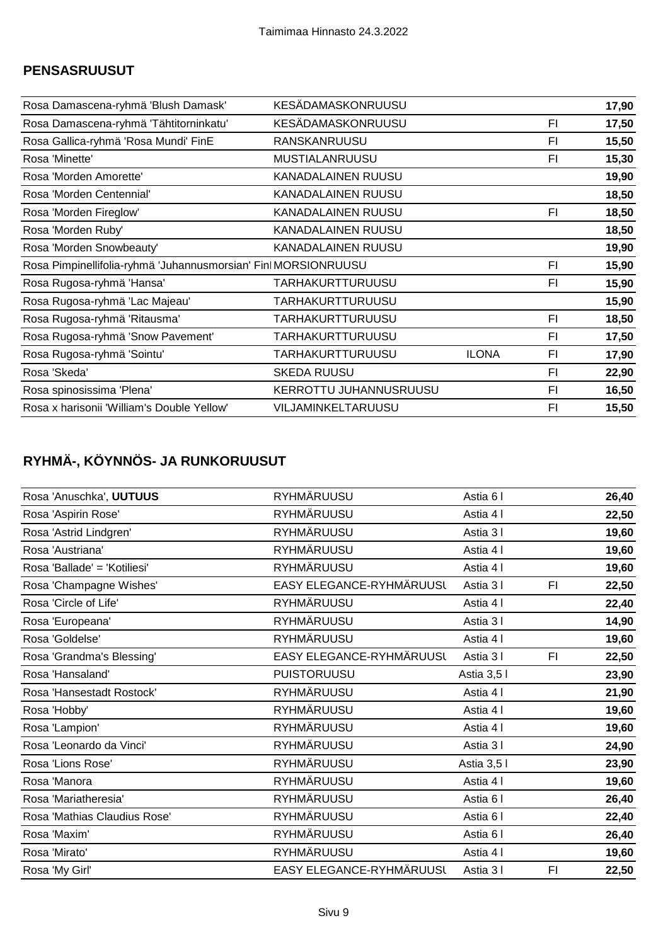#### **PENSASRUUSUT**

| Rosa Damascena-ryhmä 'Blush Damask'                            | <b>KESÄDAMASKONRUUSU</b>  |              |    | 17,90 |
|----------------------------------------------------------------|---------------------------|--------------|----|-------|
| Rosa Damascena-ryhmä 'Tähtitorninkatu'                         | KESÄDAMASKONRUUSU         |              | FI | 17,50 |
| Rosa Gallica-ryhmä 'Rosa Mundi' FinE                           | RANSKANRUUSU              |              | FI | 15,50 |
| Rosa 'Minette'                                                 | <b>MUSTIALANRUUSU</b>     |              | FI | 15,30 |
| Rosa 'Morden Amorette'                                         | <b>KANADALAINEN RUUSU</b> |              |    | 19,90 |
| Rosa 'Morden Centennial'                                       | <b>KANADALAINEN RUUSU</b> |              |    | 18,50 |
| Rosa 'Morden Fireglow'                                         | <b>KANADALAINEN RUUSU</b> |              | FI | 18,50 |
| Rosa 'Morden Ruby'                                             | <b>KANADALAINEN RUUSU</b> |              |    | 18,50 |
| Rosa 'Morden Snowbeauty'                                       | KANADALAINEN RUUSU        |              |    | 19,90 |
| Rosa Pimpinellifolia-ryhmä 'Juhannusmorsian' Finl MORSIONRUUSU |                           |              | FI | 15,90 |
| Rosa Rugosa-ryhmä 'Hansa'                                      | TARHAKURTTURUUSU          |              | FI | 15,90 |
| Rosa Rugosa-ryhmä 'Lac Majeau'                                 | TARHAKURTTURUUSU          |              |    | 15,90 |
| Rosa Rugosa-ryhmä 'Ritausma'                                   | TARHAKURTTURUUSU          |              | FI | 18,50 |
| Rosa Rugosa-ryhmä 'Snow Pavement'                              | TARHAKURTTURUUSU          |              | FI | 17,50 |
| Rosa Rugosa-ryhmä 'Sointu'                                     | TARHAKURTTURUUSU          | <b>ILONA</b> | F1 | 17,90 |
| Rosa 'Skeda'                                                   | <b>SKEDA RUUSU</b>        |              | FI | 22,90 |
| Rosa spinosissima 'Plena'                                      | KERROTTU JUHANNUSRUUSU    |              | FI | 16,50 |
| Rosa x harisonii 'William's Double Yellow'                     | VILJAMINKELTARUUSU        |              | FI | 15,50 |

# **RYHMÄ-, KÖYNNÖS- JA RUNKORUUSUT**

| Rosa 'Anuschka', UUTUUS      | RYHMÄRUUSU               | Astia 6 I   |    | 26,40 |
|------------------------------|--------------------------|-------------|----|-------|
| Rosa 'Aspirin Rose'          | <b>RYHMÄRUUSU</b>        | Astia 4 I   |    | 22,50 |
| Rosa 'Astrid Lindgren'       | <b>RYHMÄRUUSU</b>        | Astia 31    |    | 19,60 |
| Rosa 'Austriana'             | <b>RYHMÄRUUSU</b>        | Astia 4 I   |    | 19,60 |
| Rosa 'Ballade' = 'Kotiliesi' | <b>RYHMÄRUUSU</b>        | Astia 41    |    | 19,60 |
| Rosa 'Champagne Wishes'      | EASY ELEGANCE-RYHMÄRUUSL | Astia 31    | FI | 22,50 |
| Rosa 'Circle of Life'        | <b>RYHMÄRUUSU</b>        | Astia 4 I   |    | 22,40 |
| Rosa 'Europeana'             | <b>RYHMÄRUUSU</b>        | Astia 31    |    | 14,90 |
| Rosa 'Goldelse'              | <b>RYHMÄRUUSU</b>        | Astia 41    |    | 19,60 |
| Rosa 'Grandma's Blessing'    | EASY ELEGANCE-RYHMÄRUUSL | Astia 31    | F1 | 22,50 |
| Rosa 'Hansaland'             | <b>PUISTORUUSU</b>       | Astia 3,5 l |    | 23,90 |
| Rosa 'Hansestadt Rostock'    | <b>RYHMÄRUUSU</b>        | Astia 4 I   |    | 21,90 |
| Rosa 'Hobby'                 | <b>RYHMÄRUUSU</b>        | Astia 4 I   |    | 19,60 |
| Rosa 'Lampion'               | <b>RYHMÄRUUSU</b>        | Astia 4 I   |    | 19,60 |
| Rosa 'Leonardo da Vinci'     | <b>RYHMÄRUUSU</b>        | Astia 31    |    | 24,90 |
| Rosa 'Lions Rose'            | <b>RYHMÄRUUSU</b>        | Astia 3,5 l |    | 23,90 |
| Rosa 'Manora                 | <b>RYHMÄRUUSU</b>        | Astia 4 I   |    | 19,60 |
| Rosa 'Mariatheresia'         | <b>RYHMÄRUUSU</b>        | Astia 6 I   |    | 26,40 |
| Rosa 'Mathias Claudius Rose' | <b>RYHMÄRUUSU</b>        | Astia 6 I   |    | 22,40 |
| Rosa 'Maxim'                 | <b>RYHMÄRUUSU</b>        | Astia 61    |    | 26,40 |
| Rosa 'Mirato'                | <b>RYHMÄRUUSU</b>        | Astia 4 I   |    | 19,60 |
| Rosa 'My Girl'               | EASY ELEGANCE-RYHMÄRUUSL | Astia 31    | F1 | 22,50 |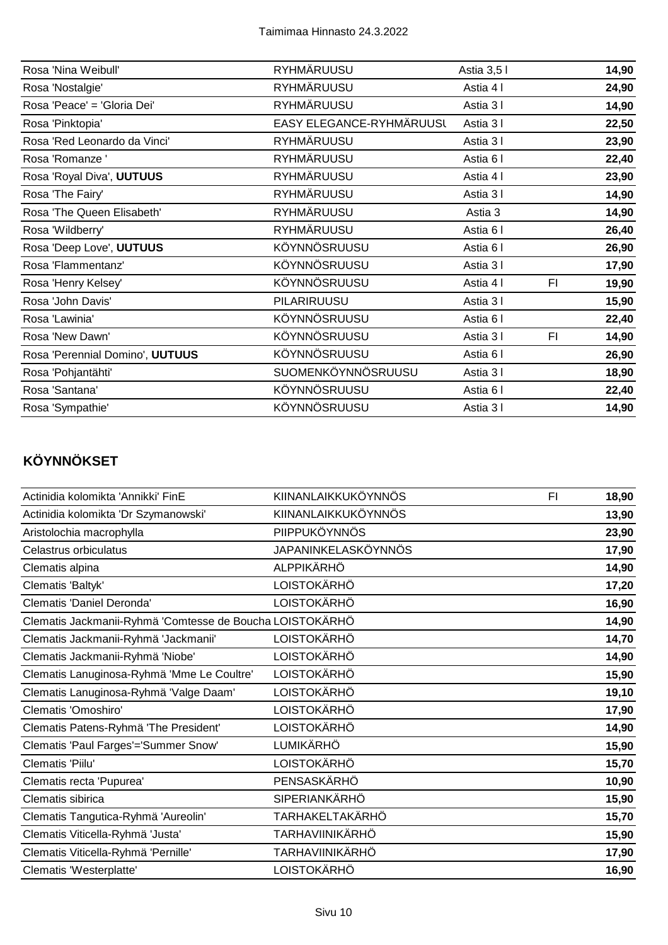| <b>RYHMÄRUUSU</b>        | Astia 3,5 l |    | 14,90 |
|--------------------------|-------------|----|-------|
| RYHMÄRUUSU               | Astia 4 I   |    | 24,90 |
| RYHMÄRUUSU               | Astia 31    |    | 14,90 |
| EASY ELEGANCE-RYHMÄRUUSL | Astia 31    |    | 22,50 |
| RYHMÄRUUSU               | Astia 31    |    | 23,90 |
| <b>RYHMÄRUUSU</b>        | Astia 6 I   |    | 22,40 |
| <b>RYHMÄRUUSU</b>        | Astia 4 I   |    | 23,90 |
| <b>RYHMÄRUUSU</b>        | Astia 31    |    | 14,90 |
| RYHMÄRUUSU               | Astia 3     |    | 14,90 |
| <b>RYHMÄRUUSU</b>        | Astia 6 I   |    | 26,40 |
| KÖYNNÖSRUUSU             | Astia 6 I   |    | 26,90 |
| KÖYNNÖSRUUSU             | Astia 31    |    | 17,90 |
| KÖYNNÖSRUUSU             | Astia 4 I   | FI | 19,90 |
| PILARIRUUSU              | Astia 31    |    | 15,90 |
| KÖYNNÖSRUUSU             | Astia 6 I   |    | 22,40 |
| KÖYNNÖSRUUSU             | Astia 31    | FI | 14,90 |
| KÖYNNÖSRUUSU             | Astia 6 I   |    | 26,90 |
| SUOMENKÖYNNÖSRUUSU       | Astia 31    |    | 18,90 |
| KÖYNNÖSRUUSU             | Astia 6 I   |    | 22,40 |
| KÖYNNÖSRUUSU             | Astia 31    |    | 14,90 |
|                          |             |    |       |

# **KÖYNNÖKSET**

| KIINANLAIKKUKÖYNNÖS        | F <sub>1</sub>                                           | 18,90 |
|----------------------------|----------------------------------------------------------|-------|
| KIINANLAIKKUKÖYNNÖS        |                                                          | 13,90 |
| PIIPPUKÖYNNÖS              |                                                          | 23,90 |
| <b>JAPANINKELASKÖYNNÖS</b> |                                                          | 17,90 |
| <b>ALPPIKÄRHÖ</b>          |                                                          | 14,90 |
| LOISTOKÄRHÖ                |                                                          | 17,20 |
| <b>LOISTOKÄRHÖ</b>         |                                                          | 16,90 |
|                            |                                                          | 14,90 |
| <b>LOISTOKÄRHÖ</b>         |                                                          | 14,70 |
| <b>LOISTOKÄRHÖ</b>         |                                                          | 14,90 |
| LOISTOKÄRHÖ                |                                                          | 15,90 |
| <b>LOISTOKÄRHÖ</b>         |                                                          | 19,10 |
| <b>LOISTOKÄRHÖ</b>         |                                                          | 17,90 |
| LOISTOKÄRHÖ                |                                                          | 14,90 |
| LUMIKÄRHÖ                  |                                                          | 15,90 |
| <b>LOISTOKÄRHÖ</b>         |                                                          | 15,70 |
| PENSASKÄRHÖ                |                                                          | 10,90 |
| <b>SIPERIANKÄRHÖ</b>       |                                                          | 15,90 |
| TARHAKELTAKÄRHÖ            |                                                          | 15,70 |
| TARHAVIINIKÄRHÖ            |                                                          | 15,90 |
| TARHAVIINIKÄRHÖ            |                                                          | 17,90 |
| <b>LOISTOKÄRHÖ</b>         |                                                          | 16,90 |
|                            | Clematis Jackmanii-Ryhmä 'Comtesse de Boucha LOISTOKÄRHÖ |       |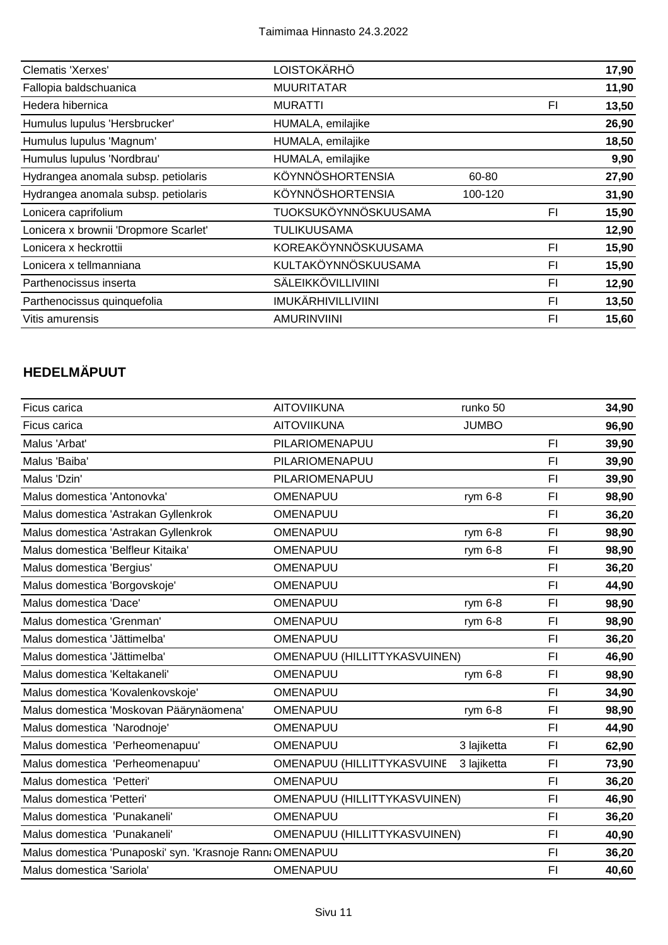| Clematis 'Xerxes'                     | LOISTOKÄRHÖ               |         |    | 17,90 |
|---------------------------------------|---------------------------|---------|----|-------|
| Fallopia baldschuanica                | <b>MUURITATAR</b>         |         |    | 11,90 |
| Hedera hibernica                      | <b>MURATTI</b>            |         | FI | 13,50 |
| Humulus lupulus 'Hersbrucker'         | HUMALA, emilajike         |         |    | 26,90 |
| Humulus lupulus 'Magnum'              | HUMALA, emilajike         |         |    | 18,50 |
| Humulus lupulus 'Nordbrau'            | HUMALA, emilajike         |         |    | 9,90  |
| Hydrangea anomala subsp. petiolaris   | KÖYNNÖSHORTENSIA          | 60-80   |    | 27,90 |
| Hydrangea anomala subsp. petiolaris   | <b>KÖYNNÖSHORTENSIA</b>   | 100-120 |    | 31,90 |
| Lonicera caprifolium                  | TUOKSUKÖYNNÖSKUUSAMA      |         | FI | 15,90 |
| Lonicera x brownii 'Dropmore Scarlet' | TULIKUUSAMA               |         |    | 12,90 |
| Lonicera x heckrottii                 | KOREAKÖYNNÖSKUUSAMA       |         | FI | 15,90 |
| Lonicera x tellmanniana               | KULTAKÖYNNÖSKUUSAMA       |         | FI | 15,90 |
| Parthenocissus inserta                | SÄLEIKKÖVILLIVIINI        |         | FI | 12,90 |
| Parthenocissus quinquefolia           | <b>IMUKÄRHIVILLIVIINI</b> |         | F1 | 13,50 |
| Vitis amurensis                       | <b>AMURINVIINI</b>        |         | FI | 15,60 |

## **HEDELMÄPUUT**

| Ficus carica                                              | <b>AITOVIIKUNA</b>           | runko 50     |                | 34,90 |
|-----------------------------------------------------------|------------------------------|--------------|----------------|-------|
| Ficus carica                                              | <b>AITOVIIKUNA</b>           | <b>JUMBO</b> |                | 96,90 |
| Malus 'Arbat'                                             | PILARIOMENAPUU               |              | F <sub>1</sub> | 39,90 |
| Malus 'Baiba'                                             | PILARIOMENAPUU               |              | F <sub>1</sub> | 39,90 |
| Malus 'Dzin'                                              | PILARIOMENAPUU               |              | F <sub>1</sub> | 39,90 |
| Malus domestica 'Antonovka'                               | OMENAPUU                     | rym 6-8      | F1             | 98,90 |
| Malus domestica 'Astrakan Gyllenkrok                      | OMENAPUU                     |              | F <sub>1</sub> | 36,20 |
| Malus domestica 'Astrakan Gyllenkrok                      | OMENAPUU                     | rym 6-8      | F1             | 98,90 |
| Malus domestica 'Belfleur Kitaika'                        | OMENAPUU                     | rym 6-8      | FI.            | 98,90 |
| Malus domestica 'Bergius'                                 | OMENAPUU                     |              | F <sub>1</sub> | 36,20 |
| Malus domestica 'Borgovskoje'                             | OMENAPUU                     |              | F <sub>1</sub> | 44,90 |
| Malus domestica 'Dace'                                    | OMENAPUU                     | rym 6-8      | FI             | 98,90 |
| Malus domestica 'Grenman'                                 | OMENAPUU                     | rym 6-8      | F1             | 98,90 |
| Malus domestica 'Jättimelba'                              | OMENAPUU                     |              | F1             | 36,20 |
| Malus domestica 'Jättimelba'                              | OMENAPUU (HILLITTYKASVUINEN) |              | FI             | 46,90 |
| Malus domestica 'Keltakaneli'                             | OMENAPUU                     | rym 6-8      | FI             | 98,90 |
| Malus domestica 'Kovalenkovskoje'                         | OMENAPUU                     |              | FI.            | 34,90 |
| Malus domestica 'Moskovan Päärynäomena'                   | OMENAPUU                     | rym 6-8      | F <sub>1</sub> | 98,90 |
| Malus domestica 'Narodnoje'                               | OMENAPUU                     |              | F1             | 44,90 |
| Malus domestica 'Perheomenapuu'                           | OMENAPUU                     | 3 lajiketta  | F1             | 62,90 |
| Malus domestica 'Perheomenapuu'                           | OMENAPUU (HILLITTYKASVUINE   | 3 lajiketta  | FI.            | 73,90 |
| Malus domestica 'Petteri'                                 | OMENAPUU                     |              | F <sub>1</sub> | 36,20 |
| Malus domestica 'Petteri'                                 | OMENAPUU (HILLITTYKASVUINEN) |              | F1             | 46,90 |
| Malus domestica 'Punakaneli'                              | OMENAPUU                     |              | F <sub>1</sub> | 36,20 |
| Malus domestica 'Punakaneli'                              | OMENAPUU (HILLITTYKASVUINEN) |              | F <sub>l</sub> | 40,90 |
| Malus domestica 'Punaposki' syn. 'Krasnoje Rann: OMENAPUU |                              |              | F <sub>1</sub> | 36,20 |
| Malus domestica 'Sariola'                                 | OMENAPUU                     |              | F1             | 40,60 |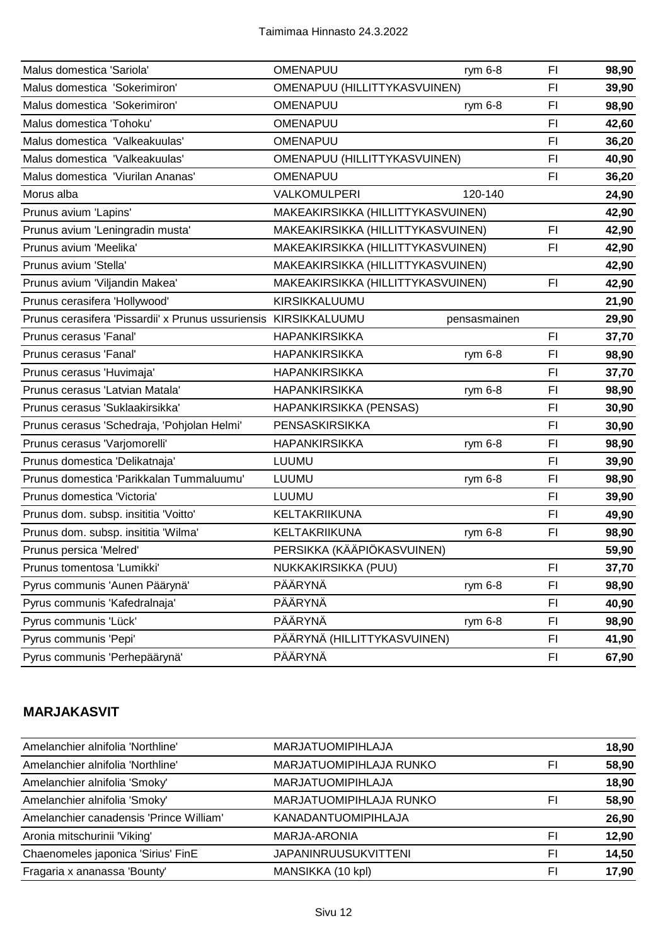| Malus domestica 'Sariola'                                        | OMENAPUU                          | rym $6-8$    | FI.            | 98,90 |
|------------------------------------------------------------------|-----------------------------------|--------------|----------------|-------|
| Malus domestica 'Sokerimiron'                                    | OMENAPUU (HILLITTYKASVUINEN)      |              | F1             | 39,90 |
| Malus domestica 'Sokerimiron'                                    | <b>OMENAPUU</b>                   | rym 6-8      | FI             | 98,90 |
| Malus domestica 'Tohoku'                                         | OMENAPUU                          |              | FI             | 42,60 |
| Malus domestica 'Valkeakuulas'                                   | OMENAPUU                          |              | F1             | 36,20 |
| Malus domestica 'Valkeakuulas'                                   | OMENAPUU (HILLITTYKASVUINEN)      |              | FI             | 40,90 |
| Malus domestica 'Viurilan Ananas'                                | OMENAPUU                          |              | F1             | 36,20 |
| Morus alba                                                       | VALKOMULPERI                      | 120-140      |                | 24,90 |
| Prunus avium 'Lapins'                                            | MAKEAKIRSIKKA (HILLITTYKASVUINEN) |              |                | 42,90 |
| Prunus avium 'Leningradin musta'                                 | MAKEAKIRSIKKA (HILLITTYKASVUINEN) |              | FI             | 42,90 |
| Prunus avium 'Meelika'                                           | MAKEAKIRSIKKA (HILLITTYKASVUINEN) |              | FI             | 42,90 |
| Prunus avium 'Stella'                                            | MAKEAKIRSIKKA (HILLITTYKASVUINEN) |              |                | 42,90 |
| Prunus avium 'Viljandin Makea'                                   | MAKEAKIRSIKKA (HILLITTYKASVUINEN) |              | <b>FI</b>      | 42,90 |
| Prunus cerasifera 'Hollywood'                                    | KIRSIKKALUUMU                     |              |                | 21,90 |
| Prunus cerasifera 'Pissardii' x Prunus ussuriensis KIRSIKKALUUMU |                                   | pensasmainen |                | 29,90 |
| Prunus cerasus 'Fanal'                                           | <b>HAPANKIRSIKKA</b>              |              | F1             | 37,70 |
| Prunus cerasus 'Fanal'                                           | <b>HAPANKIRSIKKA</b>              | rym 6-8      | FI             | 98,90 |
| Prunus cerasus 'Huvimaja'                                        | <b>HAPANKIRSIKKA</b>              |              | FI             | 37,70 |
| Prunus cerasus 'Latvian Matala'                                  | <b>HAPANKIRSIKKA</b>              | rym 6-8      | FI             | 98,90 |
| Prunus cerasus 'Suklaakirsikka'                                  | HAPANKIRSIKKA (PENSAS)            |              | FI             | 30,90 |
| Prunus cerasus 'Schedraja, 'Pohjolan Helmi'                      | PENSASKIRSIKKA                    |              | F1             | 30,90 |
| Prunus cerasus 'Varjomorelli'                                    | <b>HAPANKIRSIKKA</b>              | rym $6-8$    | F1             | 98,90 |
| Prunus domestica 'Delikatnaja'                                   | <b>LUUMU</b>                      |              | FI             | 39,90 |
| Prunus domestica 'Parikkalan Tummaluumu'                         | <b>LUUMU</b>                      | rym 6-8      | FI             | 98,90 |
| Prunus domestica 'Victoria'                                      | LUUMU                             |              | F1             | 39,90 |
| Prunus dom. subsp. insititia 'Voitto'                            | KELTAKRIIKUNA                     |              | FI             | 49,90 |
| Prunus dom. subsp. insititia 'Wilma'                             | KELTAKRIIKUNA                     | rym 6-8      | F1             | 98,90 |
| Prunus persica 'Melred'                                          | PERSIKKA (KÄÄPIÖKASVUINEN)        |              |                | 59,90 |
| Prunus tomentosa 'Lumikki'                                       | NUKKAKIRSIKKA (PUU)               |              | FI.            | 37,70 |
| Pyrus communis 'Aunen Päärynä'                                   | PÄÄRYNÄ                           | rym 6-8      | F <sub>l</sub> | 98,90 |
| Pyrus communis 'Kafedralnaja'                                    | PÄÄRYNÄ                           |              | FI             | 40,90 |
| Pyrus communis 'Lück'                                            | PÄÄRYNÄ                           | rym 6-8      | FI             | 98,90 |
| Pyrus communis 'Pepi'                                            | PÄÄRYNÄ (HILLITTYKASVUINEN)       |              | FI             | 41,90 |
| Pyrus communis 'Perhepäärynä'                                    | PÄÄRYNÄ                           |              | FI             | 67,90 |

#### **MARJAKASVIT**

| Amelanchier alnifolia 'Northline'       | <b>MARJATUOMIPIHLAJA</b>    |    | 18,90 |
|-----------------------------------------|-----------------------------|----|-------|
| Amelanchier alnifolia 'Northline'       | MARJATUOMIPIHLAJA RUNKO     | FI | 58,90 |
| Amelanchier alnifolia 'Smoky'           | <b>MARJATUOMIPIHLAJA</b>    |    | 18,90 |
| Amelanchier alnifolia 'Smoky'           | MARJATUOMIPIHLAJA RUNKO     | FI | 58,90 |
| Amelanchier canadensis 'Prince William' | <b>KANADANTUOMIPIHLAJA</b>  |    | 26,90 |
| Aronia mitschurinii 'Viking'            | MARJA-ARONIA                | FI | 12,90 |
| Chaenomeles japonica 'Sirius' FinE      | <b>JAPANINRUUSUKVITTENI</b> | FI | 14,50 |
| Fragaria x ananassa 'Bounty'            | MANSIKKA (10 kpl)           | FI | 17,90 |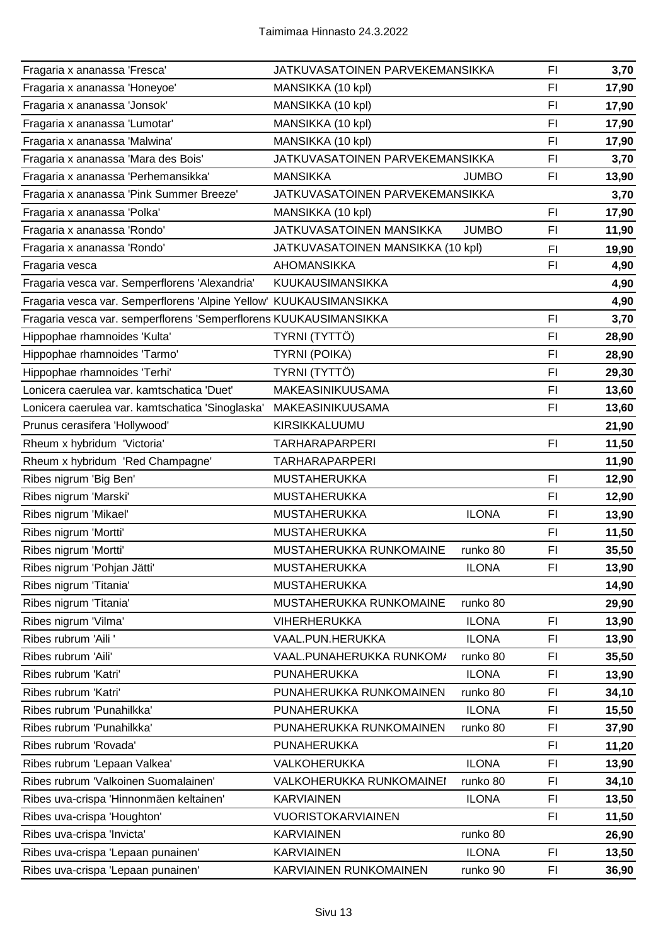| Fragaria x ananassa 'Fresca'                                       | JATKUVASATOINEN PARVEKEMANSIKKA   |              | FI             | 3,70  |
|--------------------------------------------------------------------|-----------------------------------|--------------|----------------|-------|
| Fragaria x ananassa 'Honeyoe'                                      | MANSIKKA (10 kpl)                 |              | F1             | 17,90 |
| Fragaria x ananassa 'Jonsok'                                       | MANSIKKA (10 kpl)                 |              | F1             | 17,90 |
| Fragaria x ananassa 'Lumotar'                                      | MANSIKKA (10 kpl)                 |              | F1             | 17,90 |
| Fragaria x ananassa 'Malwina'                                      | MANSIKKA (10 kpl)                 |              | FI             | 17,90 |
| Fragaria x ananassa 'Mara des Bois'                                | JATKUVASATOINEN PARVEKEMANSIKKA   |              | F1             | 3,70  |
| Fragaria x ananassa 'Perhemansikka'                                | <b>MANSIKKA</b>                   | <b>JUMBO</b> | FI             | 13,90 |
| Fragaria x ananassa 'Pink Summer Breeze'                           | JATKUVASATOINEN PARVEKEMANSIKKA   |              |                | 3,70  |
| Fragaria x ananassa 'Polka'                                        | MANSIKKA (10 kpl)                 |              | F1             | 17,90 |
| Fragaria x ananassa 'Rondo'                                        | JATKUVASATOINEN MANSIKKA          | <b>JUMBO</b> | F1             | 11,90 |
| Fragaria x ananassa 'Rondo'                                        | JATKUVASATOINEN MANSIKKA (10 kpl) |              | FI             | 19,90 |
| Fragaria vesca                                                     | <b>AHOMANSIKKA</b>                |              | F1             | 4,90  |
| Fragaria vesca var. Semperflorens 'Alexandria'                     | KUUKAUSIMANSIKKA                  |              |                | 4,90  |
| Fragaria vesca var. Semperflorens 'Alpine Yellow' KUUKAUSIMANSIKKA |                                   |              |                | 4,90  |
| Fragaria vesca var. semperflorens 'Semperflorens KUUKAUSIMANSIKKA  |                                   |              | F <sub>l</sub> | 3,70  |
| Hippophae rhamnoides 'Kulta'                                       | TYRNI (TYTTÖ)                     |              | F1             | 28,90 |
| Hippophae rhamnoides 'Tarmo'                                       | <b>TYRNI (POIKA)</b>              |              | F1             | 28,90 |
| Hippophae rhamnoides 'Terhi'                                       | TYRNI (TYTTÖ)                     |              | F1             | 29,30 |
| Lonicera caerulea var. kamtschatica 'Duet'                         | MAKEASINIKUUSAMA                  |              | F1             | 13,60 |
| Lonicera caerulea var. kamtschatica 'Sinoglaska'                   | MAKEASINIKUUSAMA                  |              | F1             | 13,60 |
| Prunus cerasifera 'Hollywood'                                      | KIRSIKKALUUMU                     |              |                | 21,90 |
| Rheum x hybridum 'Victoria'                                        | <b>TARHARAPARPERI</b>             |              | F <sub>l</sub> | 11,50 |
| Rheum x hybridum 'Red Champagne'                                   | <b>TARHARAPARPERI</b>             |              |                | 11,90 |
| Ribes nigrum 'Big Ben'                                             | <b>MUSTAHERUKKA</b>               |              | F <sub>1</sub> | 12,90 |
| Ribes nigrum 'Marski'                                              | <b>MUSTAHERUKKA</b>               |              | F <sub>l</sub> | 12,90 |
| Ribes nigrum 'Mikael'                                              | <b>MUSTAHERUKKA</b>               | <b>ILONA</b> | FI             | 13,90 |
| Ribes nigrum 'Mortti'                                              | <b>MUSTAHERUKKA</b>               |              | F1             | 11,50 |
| Ribes nigrum 'Mortti'                                              | MUSTAHERUKKA RUNKOMAINE           | runko 80     | F1             | 35,50 |
| Ribes nigrum 'Pohjan Jätti'                                        | <b>MUSTAHERUKKA</b>               | <b>ILONA</b> | FI.            | 13,90 |
| Ribes nigrum 'Titania'                                             | <b>MUSTAHERUKKA</b>               |              |                | 14,90 |
| Ribes nigrum 'Titania'                                             | MUSTAHERUKKA RUNKOMAINE           | runko 80     |                | 29,90 |
| Ribes nigrum 'Vilma'                                               | <b>VIHERHERUKKA</b>               | <b>ILONA</b> | FI             | 13,90 |
| Ribes rubrum 'Aili '                                               | VAAL.PUN.HERUKKA                  | <b>ILONA</b> | F1             | 13,90 |
| Ribes rubrum 'Aili'                                                | VAAL.PUNAHERUKKA RUNKOM/          | runko 80     | FI             | 35,50 |
| Ribes rubrum 'Katri'                                               | PUNAHERUKKA                       | <b>ILONA</b> | FI             | 13,90 |
| Ribes rubrum 'Katri'                                               | PUNAHERUKKA RUNKOMAINEN           | runko 80     | F1             | 34,10 |
| Ribes rubrum 'Punahilkka'                                          | PUNAHERUKKA                       | <b>ILONA</b> | FI             | 15,50 |
| Ribes rubrum 'Punahilkka'                                          | PUNAHERUKKA RUNKOMAINEN           | runko 80     | FI             | 37,90 |
| Ribes rubrum 'Rovada'                                              | PUNAHERUKKA                       |              | F <sub>l</sub> | 11,20 |
| Ribes rubrum 'Lepaan Valkea'                                       | <b>VALKOHERUKKA</b>               | <b>ILONA</b> | FI             | 13,90 |
| Ribes rubrum 'Valkoinen Suomalainen'                               | VALKOHERUKKA RUNKOMAINEI          | runko 80     | FI             | 34,10 |
| Ribes uva-crispa 'Hinnonmäen keltainen'                            | <b>KARVIAINEN</b>                 | <b>ILONA</b> | F <sub>1</sub> | 13,50 |
| Ribes uva-crispa 'Houghton'                                        | <b>VUORISTOKARVIAINEN</b>         |              | F <sub>1</sub> | 11,50 |
| Ribes uva-crispa 'Invicta'                                         | <b>KARVIAINEN</b>                 | runko 80     |                | 26,90 |
| Ribes uva-crispa 'Lepaan punainen'                                 | <b>KARVIAINEN</b>                 | <b>ILONA</b> | F <sub>1</sub> | 13,50 |
| Ribes uva-crispa 'Lepaan punainen'                                 | KARVIAINEN RUNKOMAINEN            | runko 90     | FI             | 36,90 |
|                                                                    |                                   |              |                |       |